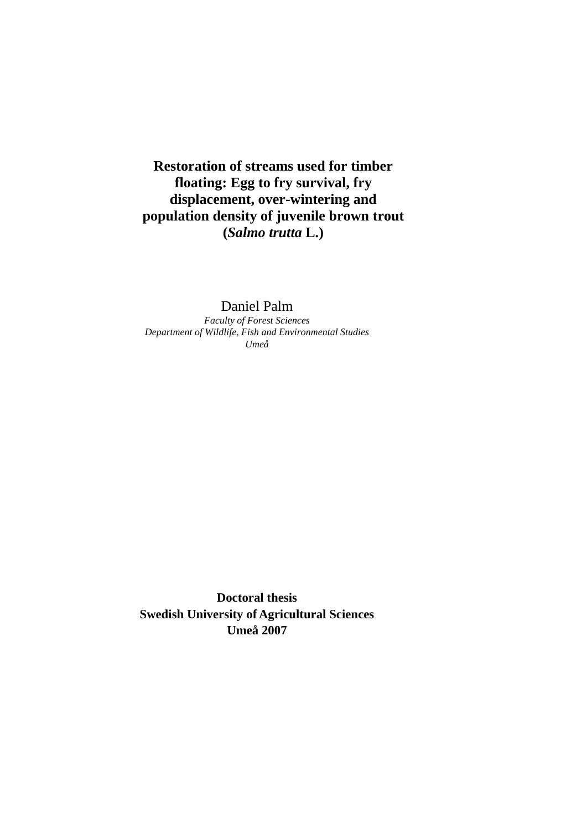**Restoration of streams used for timber floating: Egg to fry survival, fry displacement, over-wintering and population density of juvenile brown trout (***Salmo trutta* **L.)** 

# Daniel Palm

*Faculty of Forest Sciences Department of Wildlife, Fish and Environmental Studies Umeå* 

**Doctoral thesis Swedish University of Agricultural Sciences Umeå 2007**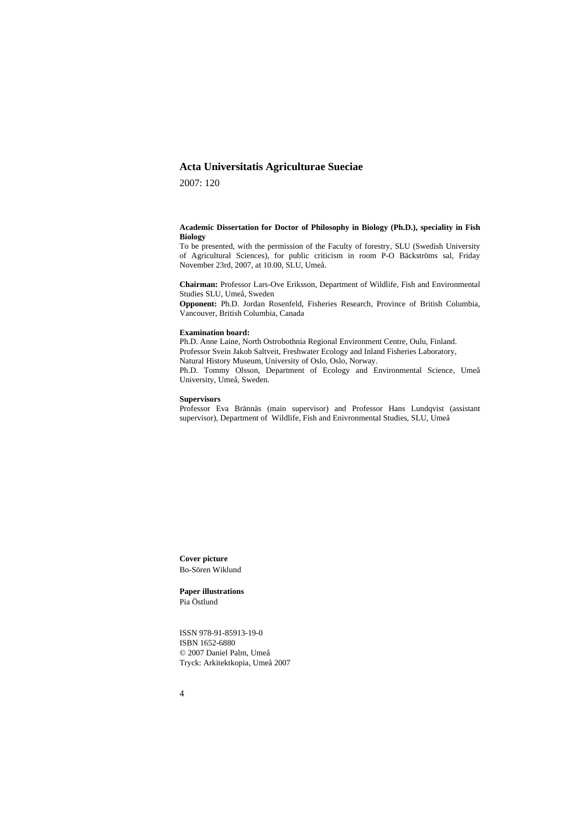# **Acta Universitatis Agriculturae Sueciae**

2007: 120

#### **Academic Dissertation for Doctor of Philosophy in Biology (Ph.D.), speciality in Fish Biology**

To be presented, with the permission of the Faculty of forestry, SLU (Swedish University of Agricultural Sciences), for public criticism in room P-O Bäckströms sal, Friday November 23rd, 2007, at 10.00, SLU, Umeå.

**Chairman:** Professor Lars-Ove Eriksson, Department of Wildlife, Fish and Environmental Studies SLU, Umeå, Sweden

**Opponent:** Ph.D. Jordan Rosenfeld, Fisheries Research, Province of British Columbia, Vancouver, British Columbia, Canada

#### **Examination board:**

Ph.D. Anne Laine, North Ostrobothnia Regional Environment Centre, Oulu, Finland. Professor Svein Jakob Saltveit, Freshwater Ecology and Inland Fisheries Laboratory, Natural History Museum, University of Oslo, Oslo, Norway. Ph.D. Tommy Olsson, Department of Ecology and Environmental Science, Umeå University, Umeå, Sweden.

#### **Supervisors**

Professor Eva Brännäs (main supervisor) and Professor Hans Lundqvist (assistant supervisor), Department of Wildlife, Fish and Enivronmental Studies, SLU, Umeå

**Cover picture** Bo-Sören Wiklund

**Paper illustrations** Pia Östlund

ISSN 978-91-85913-19-0 ISBN 1652-6880 © 2007 Daniel Palm, Umeå Tryck: Arkitektkopia, Umeå 2007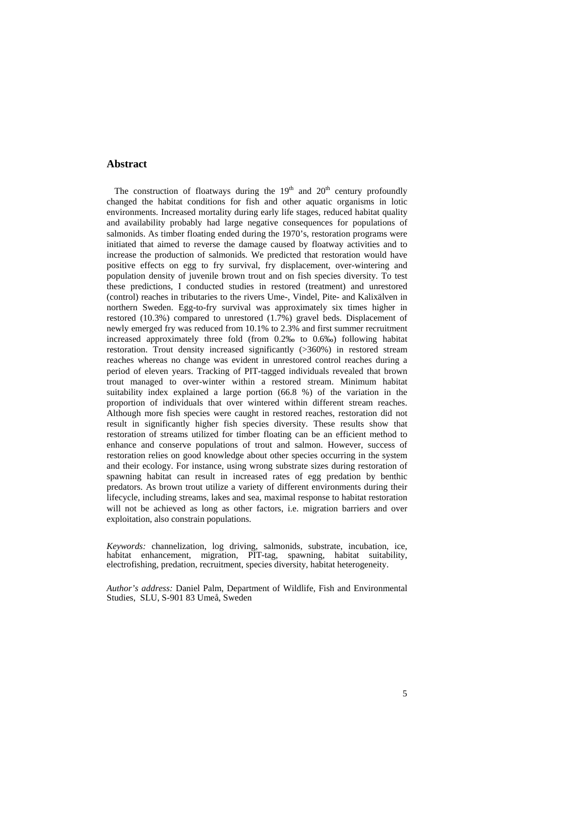## **Abstract**

The construction of floatways during the  $19<sup>th</sup>$  and  $20<sup>th</sup>$  century profoundly changed the habitat conditions for fish and other aquatic organisms in lotic environments. Increased mortality during early life stages, reduced habitat quality and availability probably had large negative consequences for populations of salmonids. As timber floating ended during the 1970's, restoration programs were initiated that aimed to reverse the damage caused by floatway activities and to increase the production of salmonids. We predicted that restoration would have positive effects on egg to fry survival, fry displacement, over-wintering and population density of juvenile brown trout and on fish species diversity. To test these predictions, I conducted studies in restored (treatment) and unrestored (control) reaches in tributaries to the rivers Ume-, Vindel, Pite- and Kalixälven in northern Sweden. Egg-to-fry survival was approximately six times higher in restored (10.3%) compared to unrestored (1.7%) gravel beds. Displacement of newly emerged fry was reduced from 10.1% to 2.3% and first summer recruitment increased approximately three fold (from 0.2‰ to 0.6‰) following habitat restoration. Trout density increased significantly (>360%) in restored stream reaches whereas no change was evident in unrestored control reaches during a period of eleven years. Tracking of PIT-tagged individuals revealed that brown trout managed to over-winter within a restored stream. Minimum habitat suitability index explained a large portion (66.8 %) of the variation in the proportion of individuals that over wintered within different stream reaches. Although more fish species were caught in restored reaches, restoration did not result in significantly higher fish species diversity. These results show that restoration of streams utilized for timber floating can be an efficient method to enhance and conserve populations of trout and salmon. However, success of restoration relies on good knowledge about other species occurring in the system and their ecology. For instance, using wrong substrate sizes during restoration of spawning habitat can result in increased rates of egg predation by benthic predators. As brown trout utilize a variety of different environments during their lifecycle, including streams, lakes and sea, maximal response to habitat restoration will not be achieved as long as other factors, i.e. migration barriers and over exploitation, also constrain populations.

*Keywords:* channelization, log driving, salmonids, substrate, incubation, ice, habitat enhancement, migration, PIT-tag, spawning, habitat suitability, electrofishing, predation, recruitment, species diversity, habitat heterogeneity.

*Author's address:* Daniel Palm, Department of Wildlife, Fish and Environmental Studies, SLU, S-901 83 Umeå, Sweden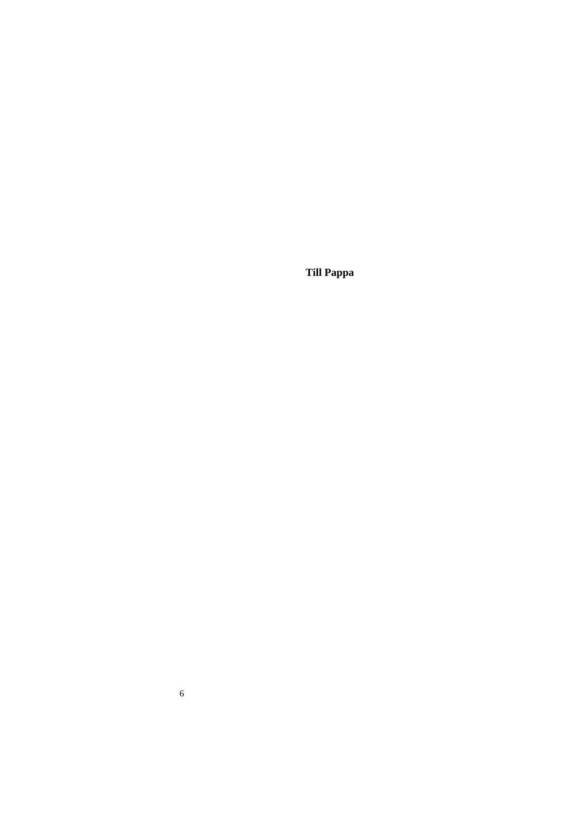**Till Pappa** 

6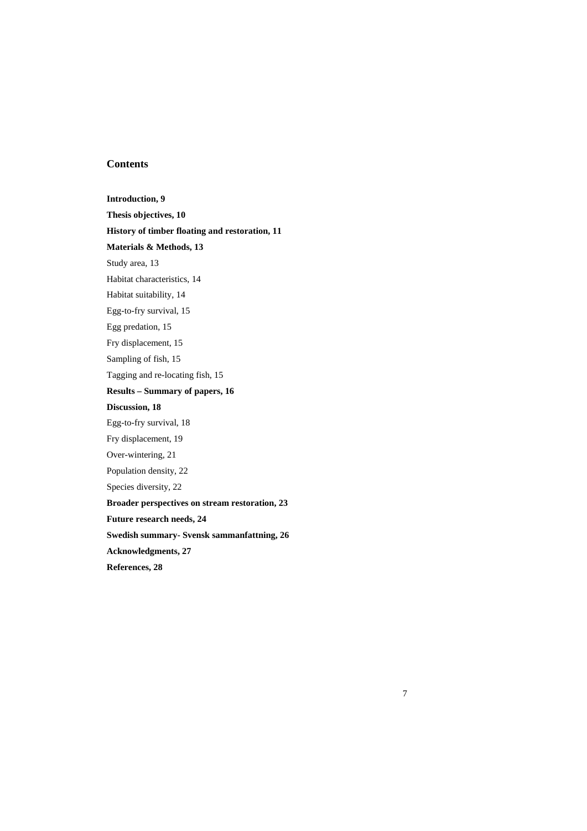# **Contents**

**Introduction, 9 Thesis objectives, 10 History of timber floating and restoration, 11 Materials & Methods, 13**  Study area, 13 Habitat characteristics, 14 Habitat suitability, 14 Egg-to-fry survival, 15 Egg predation, 15 Fry displacement, 15 Sampling of fish, 15 Tagging and re-locating fish, 15 **Results – Summary of papers, 16 Discussion, 18**  Egg-to-fry survival, 18 Fry displacement, 19 Over-wintering, 21 Population density, 22 Species diversity, 22 **Broader perspectives on stream restoration, 23 Future research needs, 24 Swedish summary- Svensk sammanfattning, 26 Acknowledgments, 27 References, 28** 

7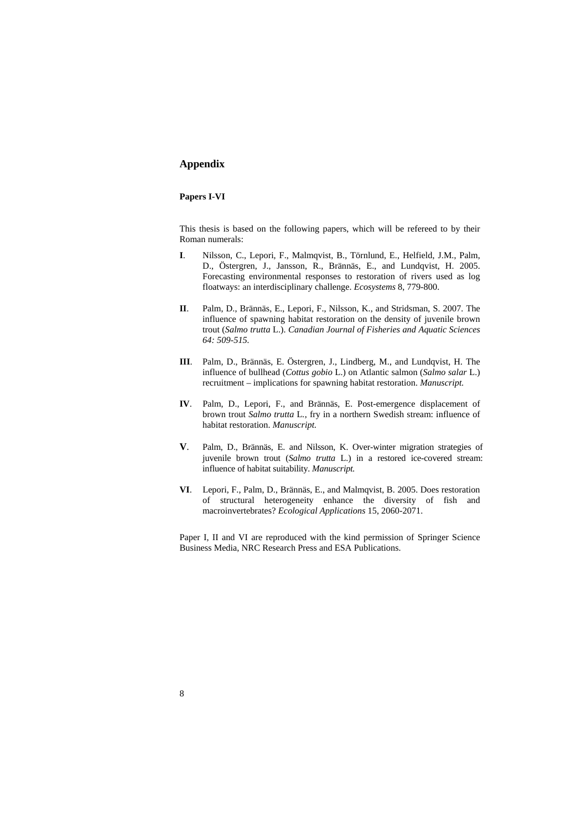# **Appendix**

## **Papers I-VI**

This thesis is based on the following papers, which will be refereed to by their Roman numerals:

- **I**. Nilsson, C., Lepori, F., Malmqvist, B., Törnlund, E., Helfield, J.M., Palm, D., Östergren, J., Jansson, R., Brännäs, E., and Lundqvist, H. 2005. Forecasting environmental responses to restoration of rivers used as log floatways: an interdisciplinary challenge. *Ecosystems* 8, 779-800.
- **II**. Palm, D., Brännäs, E., Lepori, F., Nilsson, K., and Stridsman, S. 2007. The influence of spawning habitat restoration on the density of juvenile brown trout (*Salmo trutta* L.). *Canadian Journal of Fisheries and Aquatic Sciences 64: 509-515.*
- **III**. Palm, D., Brännäs, E. Östergren, J., Lindberg, M., and Lundqvist, H. The influence of bullhead (*Cottus gobio* L.) on Atlantic salmon (*Salmo salar* L.) recruitment – implications for spawning habitat restoration. *Manuscript.*
- **IV**. Palm, D., Lepori, F., and Brännäs, E. Post-emergence displacement of brown trout *Salmo trutta* L*.*, fry in a northern Swedish stream: influence of habitat restoration. *Manuscript.*
- **V**. Palm, D., Brännäs, E. and Nilsson, K. Over-winter migration strategies of juvenile brown trout (*Salmo trutta* L.) in a restored ice-covered stream: influence of habitat suitability. *Manuscript.*
- **VI**. Lepori, F., Palm, D., Brännäs, E., and Malmqvist, B. 2005. Does restoration of structural heterogeneity enhance the diversity of fish and macroinvertebrates? *Ecological Applications* 15, 2060-2071.

Paper I, II and VI are reproduced with the kind permission of Springer Science Business Media, NRC Research Press and ESA Publications.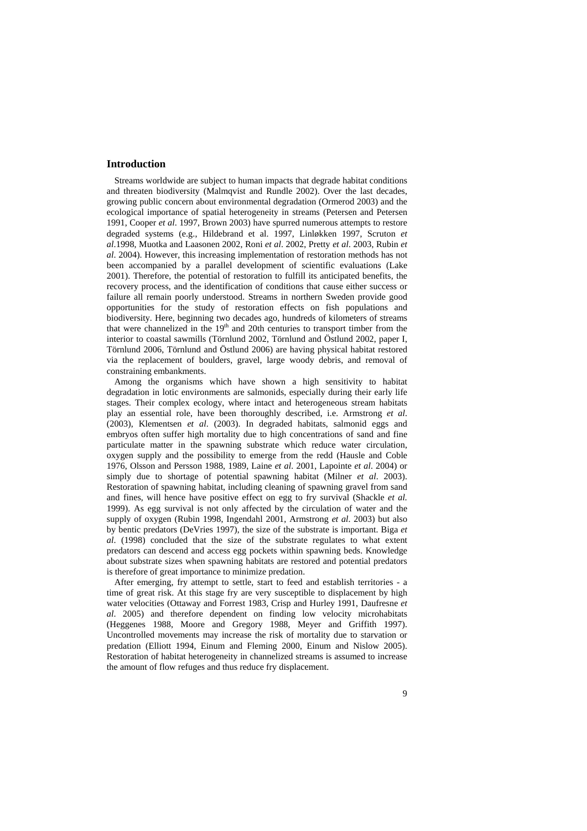## **Introduction**

Streams worldwide are subject to human impacts that degrade habitat conditions and threaten biodiversity (Malmqvist and Rundle 2002). Over the last decades, growing public concern about environmental degradation (Ormerod 2003) and the ecological importance of spatial heterogeneity in streams (Petersen and Petersen 1991, Cooper *et al*. 1997, Brown 2003) have spurred numerous attempts to restore degraded systems (e.g., Hildebrand et al. 1997, Linløkken 1997, Scruton *et al*.1998, Muotka and Laasonen 2002, Roni *et al*. 2002, Pretty *et al*. 2003, Rubin *et al*. 2004). However, this increasing implementation of restoration methods has not been accompanied by a parallel development of scientific evaluations (Lake 2001). Therefore, the potential of restoration to fulfill its anticipated benefits, the recovery process, and the identification of conditions that cause either success or failure all remain poorly understood. Streams in northern Sweden provide good opportunities for the study of restoration effects on fish populations and biodiversity. Here, beginning two decades ago, hundreds of kilometers of streams that were channelized in the  $19<sup>th</sup>$  and 20th centuries to transport timber from the interior to coastal sawmills (Törnlund 2002, Törnlund and Östlund 2002, paper I, Törnlund 2006, Törnlund and Östlund 2006) are having physical habitat restored via the replacement of boulders, gravel, large woody debris, and removal of constraining embankments.

Among the organisms which have shown a high sensitivity to habitat degradation in lotic environments are salmonids, especially during their early life stages. Their complex ecology, where intact and heterogeneous stream habitats play an essential role, have been thoroughly described, i.e. Armstrong *et al*. (2003), Klementsen *et al*. (2003). In degraded habitats, salmonid eggs and embryos often suffer high mortality due to high concentrations of sand and fine particulate matter in the spawning substrate which reduce water circulation, oxygen supply and the possibility to emerge from the redd (Hausle and Coble 1976, Olsson and Persson 1988, 1989, Laine *et al*. 2001, Lapointe *et al*. 2004) or simply due to shortage of potential spawning habitat (Milner *et al*. 2003). Restoration of spawning habitat, including cleaning of spawning gravel from sand and fines, will hence have positive effect on egg to fry survival (Shackle *et al.* 1999). As egg survival is not only affected by the circulation of water and the supply of oxygen (Rubin 1998, Ingendahl 2001, Armstrong *et al*. 2003) but also by bentic predators (DeVries 1997), the size of the substrate is important. Biga *et al*. (1998) concluded that the size of the substrate regulates to what extent predators can descend and access egg pockets within spawning beds. Knowledge about substrate sizes when spawning habitats are restored and potential predators is therefore of great importance to minimize predation.

After emerging, fry attempt to settle, start to feed and establish territories - a time of great risk. At this stage fry are very susceptible to displacement by high water velocities (Ottaway and Forrest 1983, Crisp and Hurley 1991, Daufresne *et al*. 2005) and therefore dependent on finding low velocity microhabitats (Heggenes 1988, Moore and Gregory 1988, Meyer and Griffith 1997). Uncontrolled movements may increase the risk of mortality due to starvation or predation (Elliott 1994, Einum and Fleming 2000, Einum and Nislow 2005). Restoration of habitat heterogeneity in channelized streams is assumed to increase the amount of flow refuges and thus reduce fry displacement.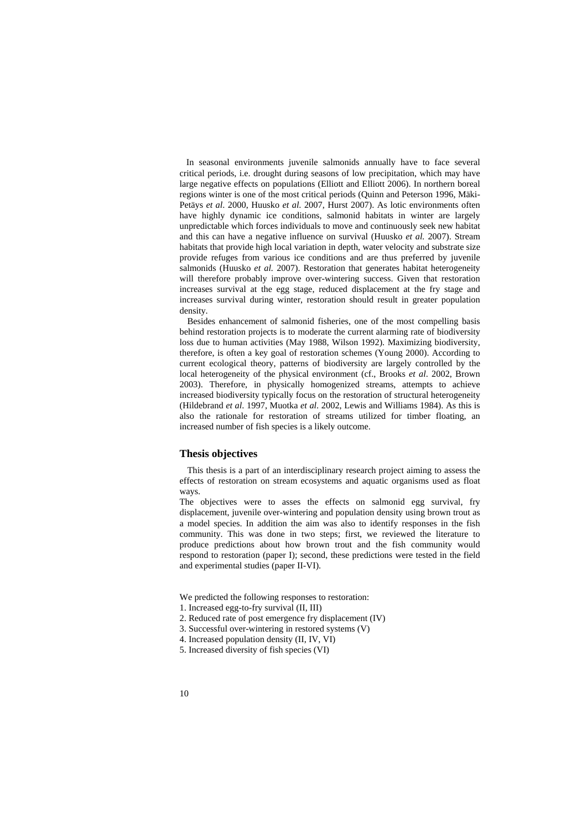In seasonal environments juvenile salmonids annually have to face several critical periods, i.e. drought during seasons of low precipitation, which may have large negative effects on populations (Elliott and Elliott 2006). In northern boreal regions winter is one of the most critical periods (Quinn and Peterson 1996, Mäki-Petäys *et al*. 2000, Huusko *et al*. 2007, Hurst 2007). As lotic environments often have highly dynamic ice conditions, salmonid habitats in winter are largely unpredictable which forces individuals to move and continuously seek new habitat and this can have a negative influence on survival (Huusko *et al.* 2007). Stream habitats that provide high local variation in depth, water velocity and substrate size provide refuges from various ice conditions and are thus preferred by juvenile salmonids (Huusko *et al.* 2007). Restoration that generates habitat heterogeneity will therefore probably improve over-wintering success. Given that restoration increases survival at the egg stage, reduced displacement at the fry stage and increases survival during winter, restoration should result in greater population density.

Besides enhancement of salmonid fisheries, one of the most compelling basis behind restoration projects is to moderate the current alarming rate of biodiversity loss due to human activities (May 1988, Wilson 1992). Maximizing biodiversity, therefore, is often a key goal of restoration schemes (Young 2000). According to current ecological theory, patterns of biodiversity are largely controlled by the local heterogeneity of the physical environment (cf., Brooks *et al*. 2002, Brown 2003). Therefore, in physically homogenized streams, attempts to achieve increased biodiversity typically focus on the restoration of structural heterogeneity (Hildebrand *et al*. 1997, Muotka *et al*. 2002, Lewis and Williams 1984). As this is also the rationale for restoration of streams utilized for timber floating, an increased number of fish species is a likely outcome.

## **Thesis objectives**

This thesis is a part of an interdisciplinary research project aiming to assess the effects of restoration on stream ecosystems and aquatic organisms used as float ways.

The objectives were to asses the effects on salmonid egg survival, fry displacement, juvenile over-wintering and population density using brown trout as a model species. In addition the aim was also to identify responses in the fish community. This was done in two steps; first, we reviewed the literature to produce predictions about how brown trout and the fish community would respond to restoration (paper I); second, these predictions were tested in the field and experimental studies (paper II-VI).

We predicted the following responses to restoration:

- 1. Increased egg-to-fry survival (II, III)
- 2. Reduced rate of post emergence fry displacement (IV)
- 3. Successful over-wintering in restored systems (V)
- 4. Increased population density (II, IV, VI)
- 5. Increased diversity of fish species (VI)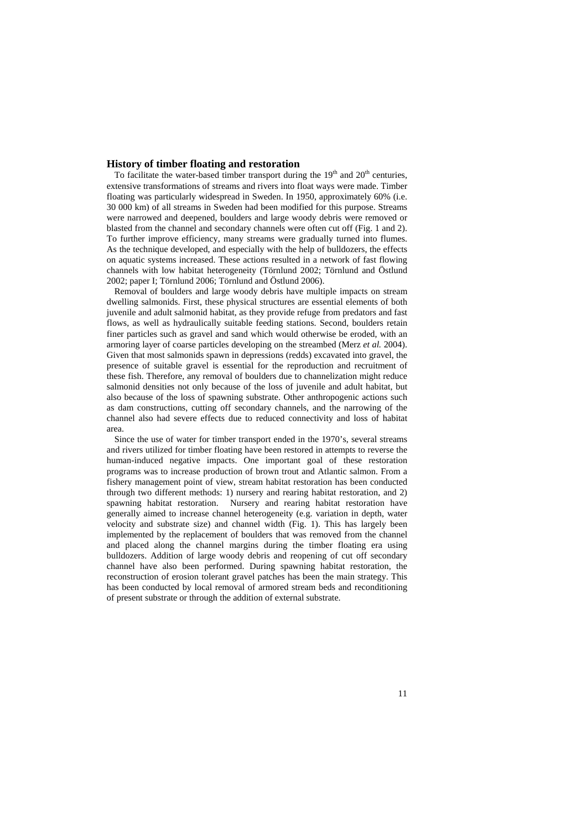### **History of timber floating and restoration**

To facilitate the water-based timber transport during the  $19<sup>th</sup>$  and  $20<sup>th</sup>$  centuries, extensive transformations of streams and rivers into float ways were made. Timber floating was particularly widespread in Sweden. In 1950, approximately 60% (i.e. 30 000 km) of all streams in Sweden had been modified for this purpose. Streams were narrowed and deepened, boulders and large woody debris were removed or blasted from the channel and secondary channels were often cut off (Fig. 1 and 2). To further improve efficiency, many streams were gradually turned into flumes. As the technique developed, and especially with the help of bulldozers, the effects on aquatic systems increased. These actions resulted in a network of fast flowing channels with low habitat heterogeneity (Törnlund 2002; Törnlund and Östlund 2002; paper I; Törnlund 2006; Törnlund and Östlund 2006).

Removal of boulders and large woody debris have multiple impacts on stream dwelling salmonids. First, these physical structures are essential elements of both juvenile and adult salmonid habitat, as they provide refuge from predators and fast flows, as well as hydraulically suitable feeding stations. Second, boulders retain finer particles such as gravel and sand which would otherwise be eroded, with an armoring layer of coarse particles developing on the streambed (Merz *et al.* 2004). Given that most salmonids spawn in depressions (redds) excavated into gravel, the presence of suitable gravel is essential for the reproduction and recruitment of these fish. Therefore, any removal of boulders due to channelization might reduce salmonid densities not only because of the loss of juvenile and adult habitat, but also because of the loss of spawning substrate. Other anthropogenic actions such as dam constructions, cutting off secondary channels, and the narrowing of the channel also had severe effects due to reduced connectivity and loss of habitat area.

Since the use of water for timber transport ended in the 1970's, several streams and rivers utilized for timber floating have been restored in attempts to reverse the human-induced negative impacts. One important goal of these restoration programs was to increase production of brown trout and Atlantic salmon. From a fishery management point of view, stream habitat restoration has been conducted through two different methods: 1) nursery and rearing habitat restoration, and 2) spawning habitat restoration. Nursery and rearing habitat restoration have generally aimed to increase channel heterogeneity (e.g. variation in depth, water velocity and substrate size) and channel width (Fig. 1). This has largely been implemented by the replacement of boulders that was removed from the channel and placed along the channel margins during the timber floating era using bulldozers. Addition of large woody debris and reopening of cut off secondary channel have also been performed. During spawning habitat restoration, the reconstruction of erosion tolerant gravel patches has been the main strategy. This has been conducted by local removal of armored stream beds and reconditioning of present substrate or through the addition of external substrate.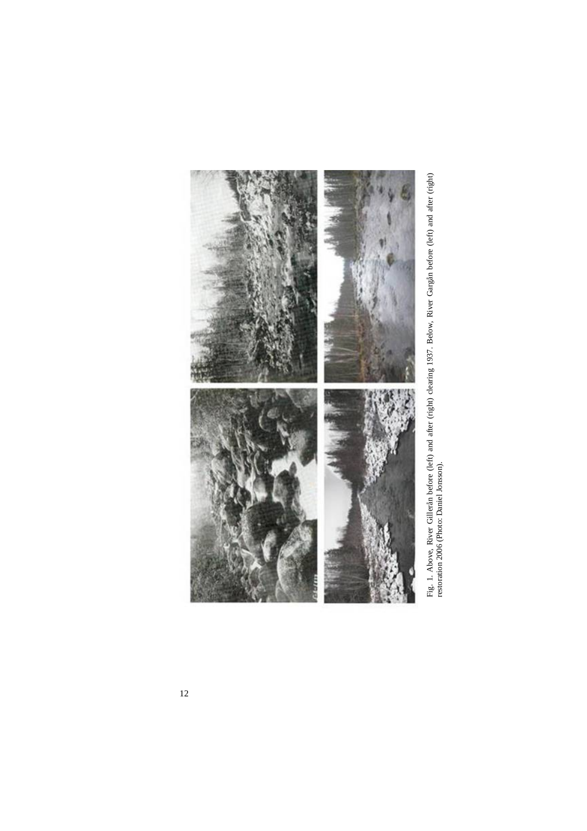

Fig. 1. Above, River Gillerån before (left) and after (right) clearing 1937. Below, River Gargån before (left) and after (right) restoration 2006 (Photo: Daniel Jonsson). Fig. 1. Above, River Gillerån before (left) and after (right) clearing 1937. Below, River Gargån before (left) and after (right) restoration 2006 (Photo: Daniel Jonsson).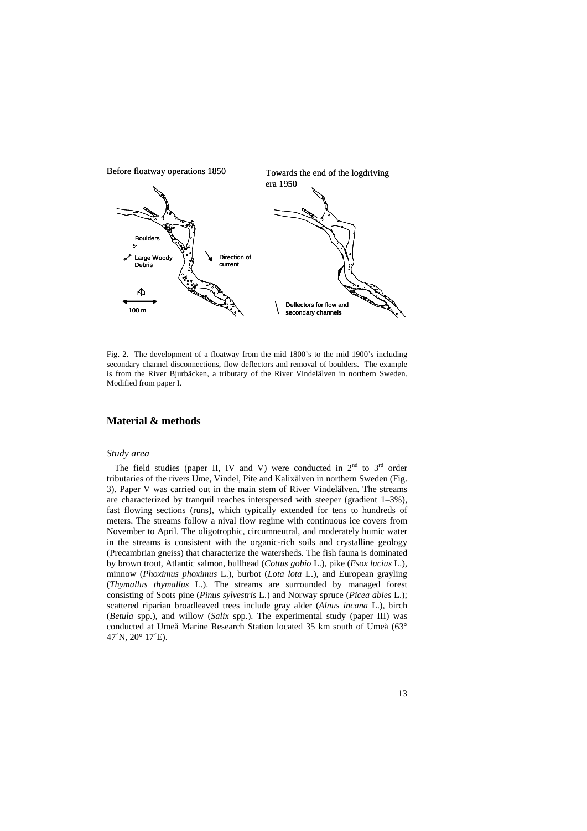

Fig. 2. The development of a floatway from the mid 1800's to the mid 1900's including secondary channel disconnections, flow deflectors and removal of boulders. The example is from the River Bjurbäcken, a tributary of the River Vindelälven in northern Sweden. Modified from paper I.

## **Material & methods**

## *Study area*

The field studies (paper II, IV and V) were conducted in  $2<sup>nd</sup>$  to  $3<sup>rd</sup>$  order tributaries of the rivers Ume, Vindel, Pite and Kalixälven in northern Sweden (Fig. 3). Paper V was carried out in the main stem of River Vindelälven. The streams are characterized by tranquil reaches interspersed with steeper (gradient 1–3%), fast flowing sections (runs), which typically extended for tens to hundreds of meters. The streams follow a nival flow regime with continuous ice covers from November to April. The oligotrophic, circumneutral, and moderately humic water in the streams is consistent with the organic-rich soils and crystalline geology (Precambrian gneiss) that characterize the watersheds. The fish fauna is dominated by brown trout, Atlantic salmon, bullhead (*Cottus gobio* L.), pike (*Esox lucius* L.), minnow (*Phoximus phoximus* L.), burbot (*Lota lota* L.), and European grayling (*Thymallus thymallus* L.). The streams are surrounded by managed forest consisting of Scots pine (*Pinus sylvestris* L.) and Norway spruce (*Picea abies* L.); scattered riparian broadleaved trees include gray alder (*Alnus incana* L.), birch (*Betula* spp.), and willow (*Salix* spp.). The experimental study (paper III) was conducted at Umeå Marine Research Station located 35 km south of Umeå (63° 47´N, 20° 17´E).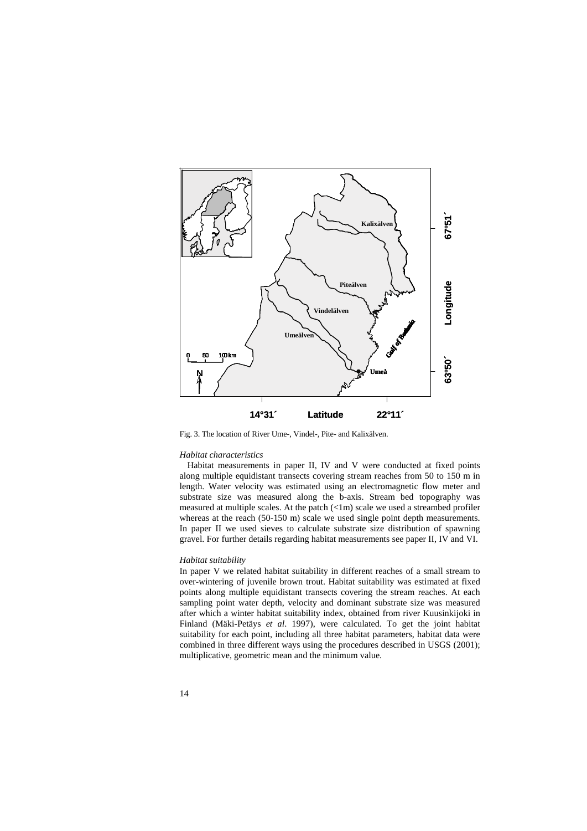

Fig. 3. The location of River Ume-, Vindel-, Pite- and Kalixälven.

### *Habitat characteristics*

Habitat measurements in paper II, IV and V were conducted at fixed points along multiple equidistant transects covering stream reaches from 50 to 150 m in length. Water velocity was estimated using an electromagnetic flow meter and substrate size was measured along the b-axis. Stream bed topography was measured at multiple scales. At the patch (<1m) scale we used a streambed profiler whereas at the reach (50-150 m) scale we used single point depth measurements. In paper II we used sieves to calculate substrate size distribution of spawning gravel. For further details regarding habitat measurements see paper II, IV and VI.

## *Habitat suitability*

In paper V we related habitat suitability in different reaches of a small stream to over-wintering of juvenile brown trout. Habitat suitability was estimated at fixed points along multiple equidistant transects covering the stream reaches. At each sampling point water depth, velocity and dominant substrate size was measured after which a winter habitat suitability index, obtained from river Kuusinkijoki in Finland (Mäki-Petäys *et al*. 1997), were calculated. To get the joint habitat suitability for each point, including all three habitat parameters, habitat data were combined in three different ways using the procedures described in USGS (2001); multiplicative, geometric mean and the minimum value.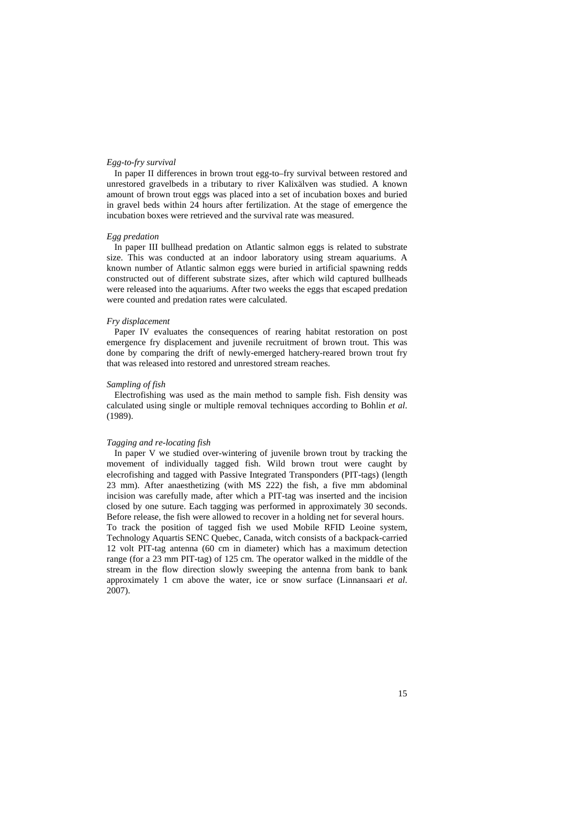### *Egg-to-fry survival*

In paper II differences in brown trout egg-to–fry survival between restored and unrestored gravelbeds in a tributary to river Kalixälven was studied. A known amount of brown trout eggs was placed into a set of incubation boxes and buried in gravel beds within 24 hours after fertilization. At the stage of emergence the incubation boxes were retrieved and the survival rate was measured.

## *Egg predation*

In paper III bullhead predation on Atlantic salmon eggs is related to substrate size. This was conducted at an indoor laboratory using stream aquariums. A known number of Atlantic salmon eggs were buried in artificial spawning redds constructed out of different substrate sizes, after which wild captured bullheads were released into the aquariums. After two weeks the eggs that escaped predation were counted and predation rates were calculated.

### *Fry displacement*

Paper IV evaluates the consequences of rearing habitat restoration on post emergence fry displacement and juvenile recruitment of brown trout. This was done by comparing the drift of newly-emerged hatchery-reared brown trout fry that was released into restored and unrestored stream reaches.

## *Sampling of fish*

Electrofishing was used as the main method to sample fish. Fish density was calculated using single or multiple removal techniques according to Bohlin *et al*. (1989).

#### *Tagging and re-locating fish*

In paper V we studied over-wintering of juvenile brown trout by tracking the movement of individually tagged fish. Wild brown trout were caught by elecrofishing and tagged with Passive Integrated Transponders (PIT-tags) (length 23 mm). After anaesthetizing (with MS 222) the fish, a five mm abdominal incision was carefully made, after which a PIT-tag was inserted and the incision closed by one suture. Each tagging was performed in approximately 30 seconds. Before release, the fish were allowed to recover in a holding net for several hours. To track the position of tagged fish we used Mobile RFID Leoine system, Technology Aquartis SENC Quebec, Canada, witch consists of a backpack-carried 12 volt PIT-tag antenna (60 cm in diameter) which has a maximum detection range (for a 23 mm PIT-tag) of 125 cm. The operator walked in the middle of the stream in the flow direction slowly sweeping the antenna from bank to bank approximately 1 cm above the water, ice or snow surface (Linnansaari *et al*. 2007).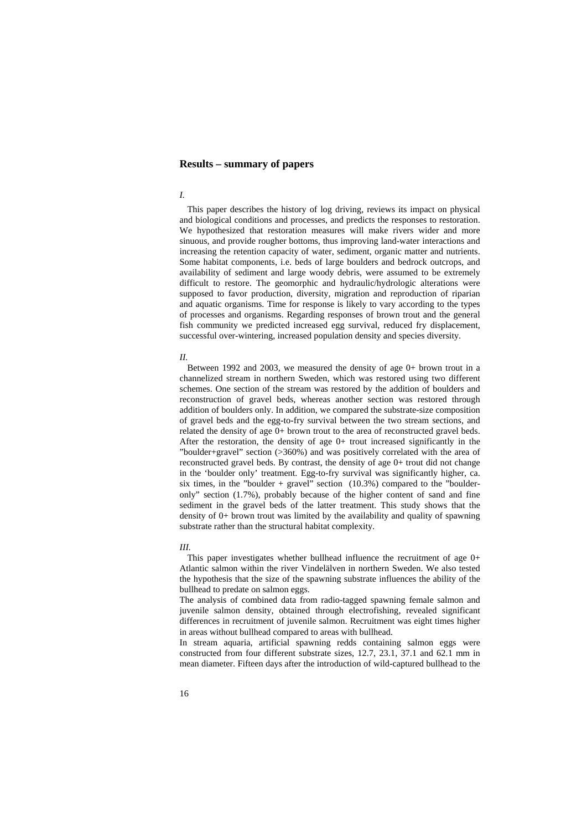## **Results – summary of papers**

## *I.*

This paper describes the history of log driving, reviews its impact on physical and biological conditions and processes, and predicts the responses to restoration. We hypothesized that restoration measures will make rivers wider and more sinuous, and provide rougher bottoms, thus improving land-water interactions and increasing the retention capacity of water, sediment, organic matter and nutrients. Some habitat components, i.e. beds of large boulders and bedrock outcrops, and availability of sediment and large woody debris, were assumed to be extremely difficult to restore. The geomorphic and hydraulic/hydrologic alterations were supposed to favor production, diversity, migration and reproduction of riparian and aquatic organisms. Time for response is likely to vary according to the types of processes and organisms. Regarding responses of brown trout and the general fish community we predicted increased egg survival, reduced fry displacement, successful over-wintering, increased population density and species diversity.

#### *II.*

Between 1992 and 2003, we measured the density of age 0+ brown trout in a channelized stream in northern Sweden, which was restored using two different schemes. One section of the stream was restored by the addition of boulders and reconstruction of gravel beds, whereas another section was restored through addition of boulders only. In addition, we compared the substrate-size composition of gravel beds and the egg-to-fry survival between the two stream sections, and related the density of age 0+ brown trout to the area of reconstructed gravel beds. After the restoration, the density of age  $0+$  trout increased significantly in the "boulder+gravel" section (>360%) and was positively correlated with the area of reconstructed gravel beds. By contrast, the density of age 0+ trout did not change in the 'boulder only' treatment. Egg-to-fry survival was significantly higher, ca. six times, in the "boulder + gravel" section  $(10.3\%)$  compared to the "boulderonly" section (1.7%), probably because of the higher content of sand and fine sediment in the gravel beds of the latter treatment. This study shows that the density of 0+ brown trout was limited by the availability and quality of spawning substrate rather than the structural habitat complexity.

### *III.*

This paper investigates whether bullhead influence the recruitment of age 0+ Atlantic salmon within the river Vindelälven in northern Sweden. We also tested the hypothesis that the size of the spawning substrate influences the ability of the bullhead to predate on salmon eggs.

The analysis of combined data from radio-tagged spawning female salmon and juvenile salmon density, obtained through electrofishing, revealed significant differences in recruitment of juvenile salmon. Recruitment was eight times higher in areas without bullhead compared to areas with bullhead.

In stream aquaria, artificial spawning redds containing salmon eggs were constructed from four different substrate sizes, 12.7, 23.1, 37.1 and 62.1 mm in mean diameter. Fifteen days after the introduction of wild-captured bullhead to the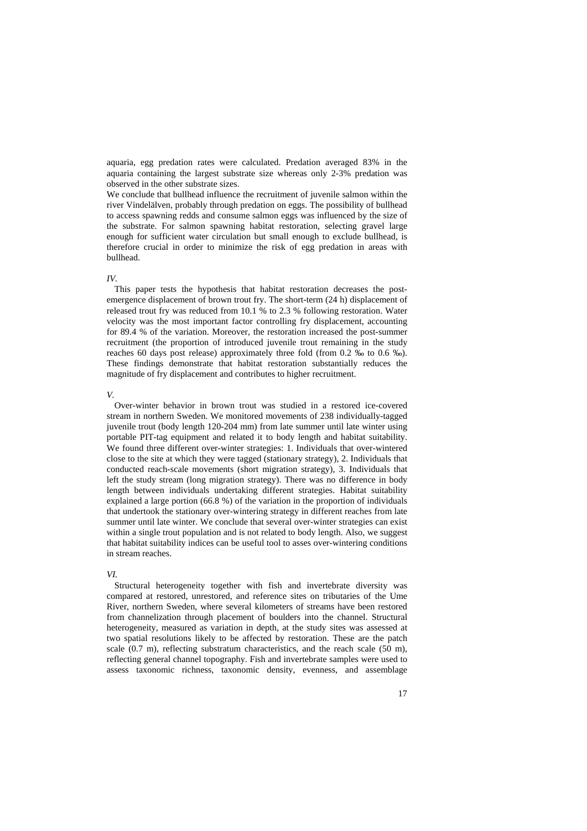aquaria, egg predation rates were calculated. Predation averaged 83% in the aquaria containing the largest substrate size whereas only 2-3% predation was observed in the other substrate sizes.

We conclude that bullhead influence the recruitment of juvenile salmon within the river Vindelälven, probably through predation on eggs. The possibility of bullhead to access spawning redds and consume salmon eggs was influenced by the size of the substrate. For salmon spawning habitat restoration, selecting gravel large enough for sufficient water circulation but small enough to exclude bullhead, is therefore crucial in order to minimize the risk of egg predation in areas with bullhead.

## *IV.*

This paper tests the hypothesis that habitat restoration decreases the postemergence displacement of brown trout fry. The short-term (24 h) displacement of released trout fry was reduced from 10.1 % to 2.3 % following restoration. Water velocity was the most important factor controlling fry displacement, accounting for 89.4 % of the variation. Moreover, the restoration increased the post-summer recruitment (the proportion of introduced juvenile trout remaining in the study reaches 60 days post release) approximately three fold (from 0.2 ‰ to 0.6 ‰). These findings demonstrate that habitat restoration substantially reduces the magnitude of fry displacement and contributes to higher recruitment.

#### *V.*

Over-winter behavior in brown trout was studied in a restored ice-covered stream in northern Sweden. We monitored movements of 238 individually-tagged juvenile trout (body length 120-204 mm) from late summer until late winter using portable PIT-tag equipment and related it to body length and habitat suitability. We found three different over-winter strategies: 1. Individuals that over-wintered close to the site at which they were tagged (stationary strategy), 2. Individuals that conducted reach-scale movements (short migration strategy), 3. Individuals that left the study stream (long migration strategy). There was no difference in body length between individuals undertaking different strategies. Habitat suitability explained a large portion (66.8 %) of the variation in the proportion of individuals that undertook the stationary over-wintering strategy in different reaches from late summer until late winter. We conclude that several over-winter strategies can exist within a single trout population and is not related to body length. Also, we suggest that habitat suitability indices can be useful tool to asses over-wintering conditions in stream reaches.

### *VI.*

Structural heterogeneity together with fish and invertebrate diversity was compared at restored, unrestored, and reference sites on tributaries of the Ume River, northern Sweden, where several kilometers of streams have been restored from channelization through placement of boulders into the channel. Structural heterogeneity, measured as variation in depth, at the study sites was assessed at two spatial resolutions likely to be affected by restoration. These are the patch scale (0.7 m), reflecting substratum characteristics, and the reach scale (50 m), reflecting general channel topography. Fish and invertebrate samples were used to assess taxonomic richness, taxonomic density, evenness, and assemblage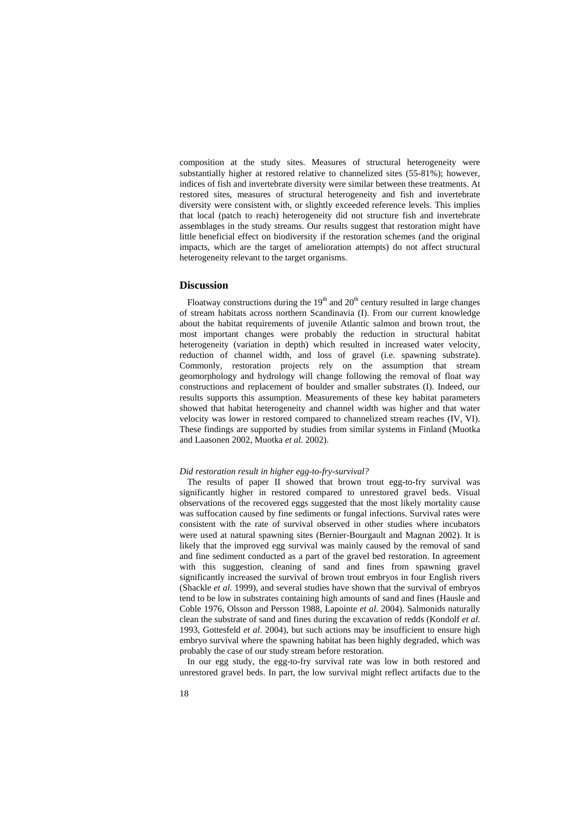composition at the study sites. Measures of structural heterogeneity were substantially higher at restored relative to channelized sites (55-81%); however, indices of fish and invertebrate diversity were similar between these treatments. At restored sites, measures of structural heterogeneity and fish and invertebrate diversity were consistent with, or slightly exceeded reference levels. This implies that local (patch to reach) heterogeneity did not structure fish and invertebrate assemblages in the study streams. Our results suggest that restoration might have little beneficial effect on biodiversity if the restoration schemes (and the original impacts, which are the target of amelioration attempts) do not affect structural heterogeneity relevant to the target organisms.

### **Discussion**

Floatway constructions during the  $19<sup>th</sup>$  and  $20<sup>th</sup>$  century resulted in large changes of stream habitats across northern Scandinavia (I). From our current knowledge about the habitat requirements of juvenile Atlantic salmon and brown trout, the most important changes were probably the reduction in structural habitat heterogeneity (variation in depth) which resulted in increased water velocity, reduction of channel width, and loss of gravel (i.e. spawning substrate). Commonly, restoration projects rely on the assumption that stream geomorphology and hydrology will change following the removal of float way constructions and replacement of boulder and smaller substrates (I). Indeed, our results supports this assumption. Measurements of these key habitat parameters showed that habitat heterogeneity and channel width was higher and that water velocity was lower in restored compared to channelized stream reaches (IV, VI). These findings are supported by studies from similar systems in Finland (Muotka and Laasonen 2002, Muotka *et al.* 2002).

## *Did restoration result in higher egg-to-fry-survival?*

The results of paper II showed that brown trout egg-to-fry survival was significantly higher in restored compared to unrestored gravel beds. Visual observations of the recovered eggs suggested that the most likely mortality cause was suffocation caused by fine sediments or fungal infections. Survival rates were consistent with the rate of survival observed in other studies where incubators were used at natural spawning sites (Bernier-Bourgault and Magnan 2002). It is likely that the improved egg survival was mainly caused by the removal of sand and fine sediment conducted as a part of the gravel bed restoration. In agreement with this suggestion, cleaning of sand and fines from spawning gravel significantly increased the survival of brown trout embryos in four English rivers (Shackle *et al.* 1999), and several studies have shown that the survival of embryos tend to be low in substrates containing high amounts of sand and fines (Hausle and Coble 1976, Olsson and Persson 1988, Lapointe *et al*. 2004). Salmonids naturally clean the substrate of sand and fines during the excavation of redds (Kondolf *et al*. 1993, Gottesfeld *et al*. 2004), but such actions may be insufficient to ensure high embryo survival where the spawning habitat has been highly degraded, which was probably the case of our study stream before restoration.

In our egg study, the egg-to-fry survival rate was low in both restored and unrestored gravel beds. In part, the low survival might reflect artifacts due to the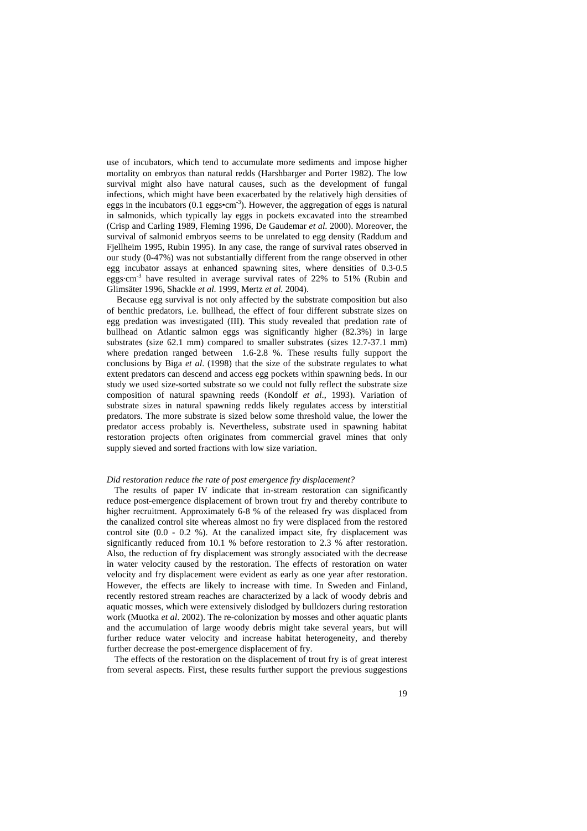use of incubators, which tend to accumulate more sediments and impose higher mortality on embryos than natural redds (Harshbarger and Porter 1982). The low survival might also have natural causes, such as the development of fungal infections, which might have been exacerbated by the relatively high densities of eggs in the incubators  $(0.1 \text{ eggs/cm}^3)$ . However, the aggregation of eggs is natural in salmonids, which typically lay eggs in pockets excavated into the streambed (Crisp and Carling 1989, Fleming 1996, De Gaudemar *et al*. 2000). Moreover, the survival of salmonid embryos seems to be unrelated to egg density (Raddum and Fjellheim 1995, Rubin 1995). In any case, the range of survival rates observed in our study (0-47%) was not substantially different from the range observed in other egg incubator assays at enhanced spawning sites, where densities of 0.3-0.5 eggs $\cdot$ cm<sup>-3</sup> have resulted in average survival rates of 22% to 51% (Rubin and Glimsäter 1996, Shackle *et al*. 1999, Mertz *et al.* 2004).

 Because egg survival is not only affected by the substrate composition but also of benthic predators, i.e. bullhead, the effect of four different substrate sizes on egg predation was investigated (III). This study revealed that predation rate of bullhead on Atlantic salmon eggs was significantly higher (82.3%) in large substrates (size 62.1 mm) compared to smaller substrates (sizes 12.7-37.1 mm) where predation ranged between 1.6-2.8 %. These results fully support the conclusions by Biga *et al*. (1998) that the size of the substrate regulates to what extent predators can descend and access egg pockets within spawning beds. In our study we used size-sorted substrate so we could not fully reflect the substrate size composition of natural spawning reeds (Kondolf *et al*., 1993). Variation of substrate sizes in natural spawning redds likely regulates access by interstitial predators. The more substrate is sized below some threshold value, the lower the predator access probably is. Nevertheless, substrate used in spawning habitat restoration projects often originates from commercial gravel mines that only supply sieved and sorted fractions with low size variation.

### *Did restoration reduce the rate of post emergence fry displacement?*

The results of paper IV indicate that in-stream restoration can significantly reduce post-emergence displacement of brown trout fry and thereby contribute to higher recruitment. Approximately 6-8 % of the released fry was displaced from the canalized control site whereas almost no fry were displaced from the restored control site  $(0.0 - 0.2 \%)$ . At the canalized impact site, fry displacement was significantly reduced from 10.1 % before restoration to 2.3 % after restoration. Also, the reduction of fry displacement was strongly associated with the decrease in water velocity caused by the restoration. The effects of restoration on water velocity and fry displacement were evident as early as one year after restoration. However, the effects are likely to increase with time. In Sweden and Finland, recently restored stream reaches are characterized by a lack of woody debris and aquatic mosses, which were extensively dislodged by bulldozers during restoration work (Muotka *et al*. 2002). The re-colonization by mosses and other aquatic plants and the accumulation of large woody debris might take several years, but will further reduce water velocity and increase habitat heterogeneity, and thereby further decrease the post-emergence displacement of fry.

The effects of the restoration on the displacement of trout fry is of great interest from several aspects. First, these results further support the previous suggestions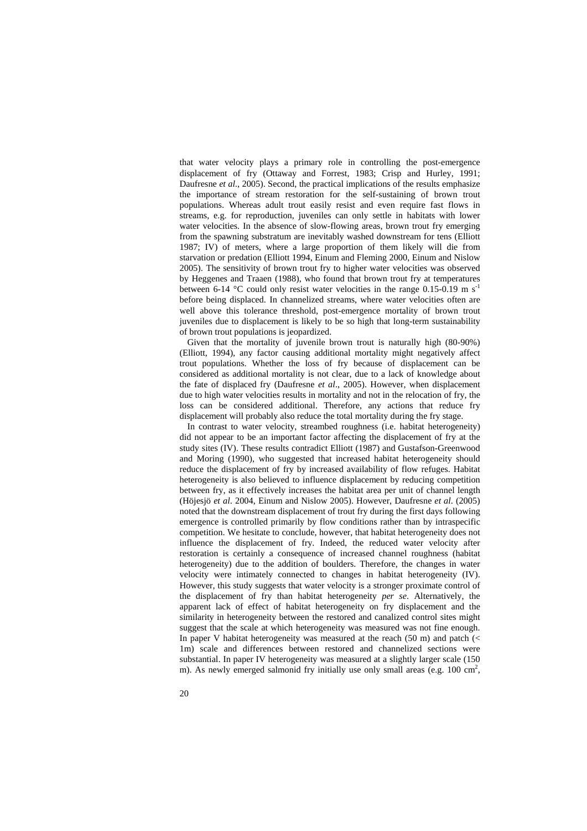that water velocity plays a primary role in controlling the post-emergence displacement of fry (Ottaway and Forrest, 1983; Crisp and Hurley, 1991; Daufresne *et al*., 2005). Second, the practical implications of the results emphasize the importance of stream restoration for the self-sustaining of brown trout populations. Whereas adult trout easily resist and even require fast flows in streams, e.g. for reproduction, juveniles can only settle in habitats with lower water velocities. In the absence of slow-flowing areas, brown trout fry emerging from the spawning substratum are inevitably washed downstream for tens (Elliott 1987; IV) of meters, where a large proportion of them likely will die from starvation or predation (Elliott 1994, Einum and Fleming 2000, Einum and Nislow 2005). The sensitivity of brown trout fry to higher water velocities was observed by Heggenes and Traaen (1988), who found that brown trout fry at temperatures between 6-14 °C could only resist water velocities in the range 0.15-0.19 m s<sup>-1</sup> before being displaced. In channelized streams, where water velocities often are well above this tolerance threshold, post-emergence mortality of brown trout juveniles due to displacement is likely to be so high that long-term sustainability of brown trout populations is jeopardized.

Given that the mortality of juvenile brown trout is naturally high (80-90%) (Elliott, 1994), any factor causing additional mortality might negatively affect trout populations. Whether the loss of fry because of displacement can be considered as additional mortality is not clear, due to a lack of knowledge about the fate of displaced fry (Daufresne *et al*., 2005). However, when displacement due to high water velocities results in mortality and not in the relocation of fry, the loss can be considered additional. Therefore, any actions that reduce fry displacement will probably also reduce the total mortality during the fry stage.

In contrast to water velocity, streambed roughness (i.e. habitat heterogeneity) did not appear to be an important factor affecting the displacement of fry at the study sites (IV). These results contradict Elliott (1987) and Gustafson-Greenwood and Moring (1990), who suggested that increased habitat heterogeneity should reduce the displacement of fry by increased availability of flow refuges. Habitat heterogeneity is also believed to influence displacement by reducing competition between fry, as it effectively increases the habitat area per unit of channel length (Höjesjö *et al*. 2004, Einum and Nislow 2005). However, Daufresne *et al*. (2005) noted that the downstream displacement of trout fry during the first days following emergence is controlled primarily by flow conditions rather than by intraspecific competition. We hesitate to conclude, however, that habitat heterogeneity does not influence the displacement of fry. Indeed, the reduced water velocity after restoration is certainly a consequence of increased channel roughness (habitat heterogeneity) due to the addition of boulders. Therefore, the changes in water velocity were intimately connected to changes in habitat heterogeneity (IV). However, this study suggests that water velocity is a stronger proximate control of the displacement of fry than habitat heterogeneity *per se*. Alternatively, the apparent lack of effect of habitat heterogeneity on fry displacement and the similarity in heterogeneity between the restored and canalized control sites might suggest that the scale at which heterogeneity was measured was not fine enough. In paper V habitat heterogeneity was measured at the reach  $(50 \text{ m})$  and patch  $(<$ 1m) scale and differences between restored and channelized sections were substantial. In paper IV heterogeneity was measured at a slightly larger scale (150 m). As newly emerged salmonid fry initially use only small areas (e.g.  $100 \text{ cm}^2$ ,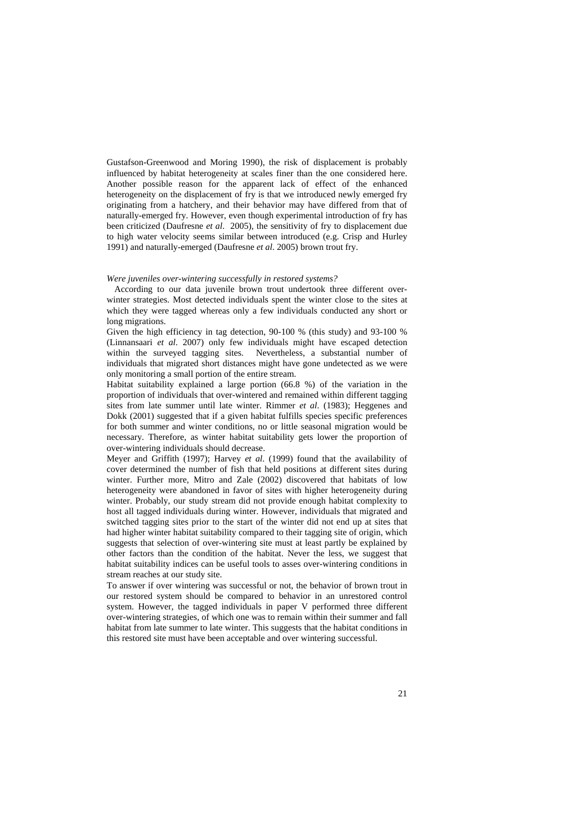Gustafson-Greenwood and Moring 1990), the risk of displacement is probably influenced by habitat heterogeneity at scales finer than the one considered here. Another possible reason for the apparent lack of effect of the enhanced heterogeneity on the displacement of fry is that we introduced newly emerged fry originating from a hatchery, and their behavior may have differed from that of naturally-emerged fry. However, even though experimental introduction of fry has been criticized (Daufresne *et al*. 2005), the sensitivity of fry to displacement due to high water velocity seems similar between introduced (e.g. Crisp and Hurley 1991) and naturally-emerged (Daufresne *et al*. 2005) brown trout fry.

#### *Were juveniles over-wintering successfully in restored systems?*

According to our data juvenile brown trout undertook three different overwinter strategies. Most detected individuals spent the winter close to the sites at which they were tagged whereas only a few individuals conducted any short or long migrations.

Given the high efficiency in tag detection, 90-100 % (this study) and 93-100 % (Linnansaari *et al*. 2007) only few individuals might have escaped detection within the surveyed tagging sites. Nevertheless, a substantial number of individuals that migrated short distances might have gone undetected as we were only monitoring a small portion of the entire stream.

Habitat suitability explained a large portion (66.8 %) of the variation in the proportion of individuals that over-wintered and remained within different tagging sites from late summer until late winter. Rimmer *et al*. (1983); Heggenes and Dokk (2001) suggested that if a given habitat fulfills species specific preferences for both summer and winter conditions, no or little seasonal migration would be necessary. Therefore, as winter habitat suitability gets lower the proportion of over-wintering individuals should decrease.

Meyer and Griffith (1997); Harvey *et al*. (1999) found that the availability of cover determined the number of fish that held positions at different sites during winter. Further more, Mitro and Zale (2002) discovered that habitats of low heterogeneity were abandoned in favor of sites with higher heterogeneity during winter. Probably, our study stream did not provide enough habitat complexity to host all tagged individuals during winter. However, individuals that migrated and switched tagging sites prior to the start of the winter did not end up at sites that had higher winter habitat suitability compared to their tagging site of origin, which suggests that selection of over-wintering site must at least partly be explained by other factors than the condition of the habitat. Never the less, we suggest that habitat suitability indices can be useful tools to asses over-wintering conditions in stream reaches at our study site.

To answer if over wintering was successful or not, the behavior of brown trout in our restored system should be compared to behavior in an unrestored control system. However, the tagged individuals in paper V performed three different over-wintering strategies, of which one was to remain within their summer and fall habitat from late summer to late winter. This suggests that the habitat conditions in this restored site must have been acceptable and over wintering successful.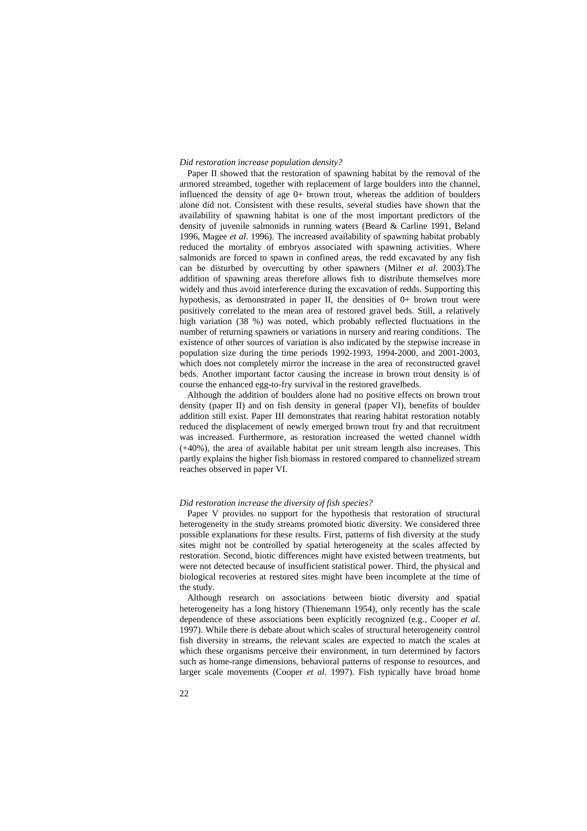#### *Did restoration increase population density?*

Paper II showed that the restoration of spawning habitat by the removal of the armored streambed, together with replacement of large boulders into the channel, influenced the density of age 0+ brown trout, whereas the addition of boulders alone did not. Consistent with these results, several studies have shown that the availability of spawning habitat is one of the most important predictors of the density of juvenile salmonids in running waters (Beard & Carline 1991, Beland 1996, Magee *et al*. 1996). The increased availability of spawning habitat probably reduced the mortality of embryos associated with spawning activities. Where salmonids are forced to spawn in confined areas, the redd excavated by any fish can be disturbed by overcutting by other spawners (Milner *et al*. 2003).The addition of spawning areas therefore allows fish to distribute themselves more widely and thus avoid interference during the excavation of redds. Supporting this hypothesis, as demonstrated in paper II, the densities of 0+ brown trout were positively correlated to the mean area of restored gravel beds. Still, a relatively high variation (38 %) was noted, which probably reflected fluctuations in the number of returning spawners or variations in nursery and rearing conditions. The existence of other sources of variation is also indicated by the stepwise increase in population size during the time periods 1992-1993, 1994-2000, and 2001-2003, which does not completely mirror the increase in the area of reconstructed gravel beds. Another important factor causing the increase in brown trout density is of course the enhanced egg-to-fry survival in the restored gravelbeds.

Although the addition of boulders alone had no positive effects on brown trout density (paper II) and on fish density in general (paper VI), benefits of boulder addition still exist. Paper III demonstrates that rearing habitat restoration notably reduced the displacement of newly emerged brown trout fry and that recruitment was increased. Furthermore, as restoration increased the wetted channel width (+40%), the area of available habitat per unit stream length also increases. This partly explains the higher fish biomass in restored compared to channelized stream reaches observed in paper VI.

## *Did restoration increase the diversity of fish species?*

Paper V provides no support for the hypothesis that restoration of structural heterogeneity in the study streams promoted biotic diversity. We considered three possible explanations for these results. First, patterns of fish diversity at the study sites might not be controlled by spatial heterogeneity at the scales affected by restoration. Second, biotic differences might have existed between treatments, but were not detected because of insufficient statistical power. Third, the physical and biological recoveries at restored sites might have been incomplete at the time of the study.

Although research on associations between biotic diversity and spatial heterogeneity has a long history (Thienemann 1954), only recently has the scale dependence of these associations been explicitly recognized (e.g., Cooper *et al*. 1997). While there is debate about which scales of structural heterogeneity control fish diversity in streams, the relevant scales are expected to match the scales at which these organisms perceive their environment, in turn determined by factors such as home-range dimensions, behavioral patterns of response to resources, and larger scale movements (Cooper *et al*. 1997). Fish typically have broad home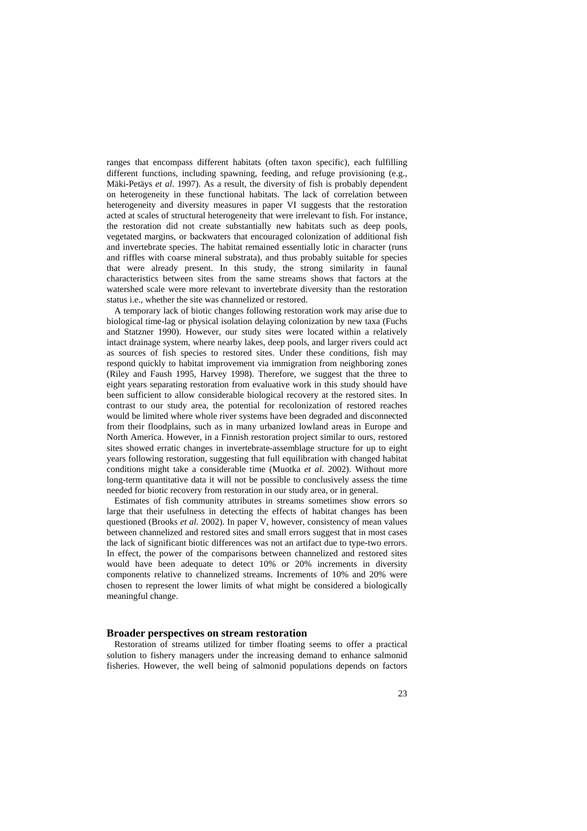ranges that encompass different habitats (often taxon specific), each fulfilling different functions, including spawning, feeding, and refuge provisioning (e.g., Mäki-Petäys *et al*. 1997). As a result, the diversity of fish is probably dependent on heterogeneity in these functional habitats. The lack of correlation between heterogeneity and diversity measures in paper VI suggests that the restoration acted at scales of structural heterogeneity that were irrelevant to fish. For instance, the restoration did not create substantially new habitats such as deep pools, vegetated margins, or backwaters that encouraged colonization of additional fish and invertebrate species. The habitat remained essentially lotic in character (runs and riffles with coarse mineral substrata), and thus probably suitable for species that were already present. In this study, the strong similarity in faunal characteristics between sites from the same streams shows that factors at the watershed scale were more relevant to invertebrate diversity than the restoration status i.e., whether the site was channelized or restored.

A temporary lack of biotic changes following restoration work may arise due to biological time-lag or physical isolation delaying colonization by new taxa (Fuchs and Statzner 1990). However, our study sites were located within a relatively intact drainage system, where nearby lakes, deep pools, and larger rivers could act as sources of fish species to restored sites. Under these conditions, fish may respond quickly to habitat improvement via immigration from neighboring zones (Riley and Faush 1995, Harvey 1998). Therefore, we suggest that the three to eight years separating restoration from evaluative work in this study should have been sufficient to allow considerable biological recovery at the restored sites. In contrast to our study area, the potential for recolonization of restored reaches would be limited where whole river systems have been degraded and disconnected from their floodplains, such as in many urbanized lowland areas in Europe and North America. However, in a Finnish restoration project similar to ours, restored sites showed erratic changes in invertebrate-assemblage structure for up to eight years following restoration, suggesting that full equilibration with changed habitat conditions might take a considerable time (Muotka *et al*. 2002). Without more long-term quantitative data it will not be possible to conclusively assess the time needed for biotic recovery from restoration in our study area, or in general.

Estimates of fish community attributes in streams sometimes show errors so large that their usefulness in detecting the effects of habitat changes has been questioned (Brooks *et al*. 2002). In paper V, however, consistency of mean values between channelized and restored sites and small errors suggest that in most cases the lack of significant biotic differences was not an artifact due to type-two errors. In effect, the power of the comparisons between channelized and restored sites would have been adequate to detect 10% or 20% increments in diversity components relative to channelized streams. Increments of 10% and 20% were chosen to represent the lower limits of what might be considered a biologically meaningful change.

### **Broader perspectives on stream restoration**

Restoration of streams utilized for timber floating seems to offer a practical solution to fishery managers under the increasing demand to enhance salmonid fisheries. However, the well being of salmonid populations depends on factors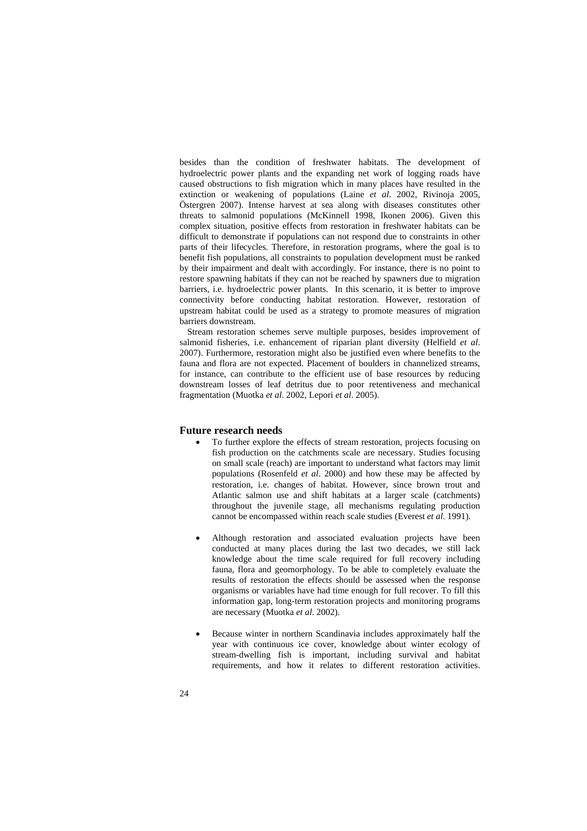besides than the condition of freshwater habitats. The development of hydroelectric power plants and the expanding net work of logging roads have caused obstructions to fish migration which in many places have resulted in the extinction or weakening of populations (Laine *et al*. 2002, Rivinoja 2005, Östergren 2007). Intense harvest at sea along with diseases constitutes other threats to salmonid populations (McKinnell 1998, Ikonen 2006). Given this complex situation, positive effects from restoration in freshwater habitats can be difficult to demonstrate if populations can not respond due to constraints in other parts of their lifecycles. Therefore, in restoration programs, where the goal is to benefit fish populations, all constraints to population development must be ranked by their impairment and dealt with accordingly. For instance, there is no point to restore spawning habitats if they can not be reached by spawners due to migration barriers, i.e. hydroelectric power plants. In this scenario, it is better to improve connectivity before conducting habitat restoration. However, restoration of upstream habitat could be used as a strategy to promote measures of migration barriers downstream.

Stream restoration schemes serve multiple purposes, besides improvement of salmonid fisheries, i.e. enhancement of riparian plant diversity (Helfield *et al*. 2007). Furthermore, restoration might also be justified even where benefits to the fauna and flora are not expected. Placement of boulders in channelized streams, for instance, can contribute to the efficient use of base resources by reducing downstream losses of leaf detritus due to poor retentiveness and mechanical fragmentation (Muotka *et al*. 2002, Lepori *et al*. 2005).

## **Future research needs**

- To further explore the effects of stream restoration, projects focusing on fish production on the catchments scale are necessary. Studies focusing on small scale (reach) are important to understand what factors may limit populations (Rosenfeld *et al*. 2000) and how these may be affected by restoration, i.e. changes of habitat. However, since brown trout and Atlantic salmon use and shift habitats at a larger scale (catchments) throughout the juvenile stage, all mechanisms regulating production cannot be encompassed within reach scale studies (Everest *et al*. 1991).
- Although restoration and associated evaluation projects have been conducted at many places during the last two decades, we still lack knowledge about the time scale required for full recovery including fauna, flora and geomorphology. To be able to completely evaluate the results of restoration the effects should be assessed when the response organisms or variables have had time enough for full recover. To fill this information gap, long-term restoration projects and monitoring programs are necessary (Muotka *et al*. 2002).
- Because winter in northern Scandinavia includes approximately half the year with continuous ice cover, knowledge about winter ecology of stream-dwelling fish is important, including survival and habitat requirements, and how it relates to different restoration activities.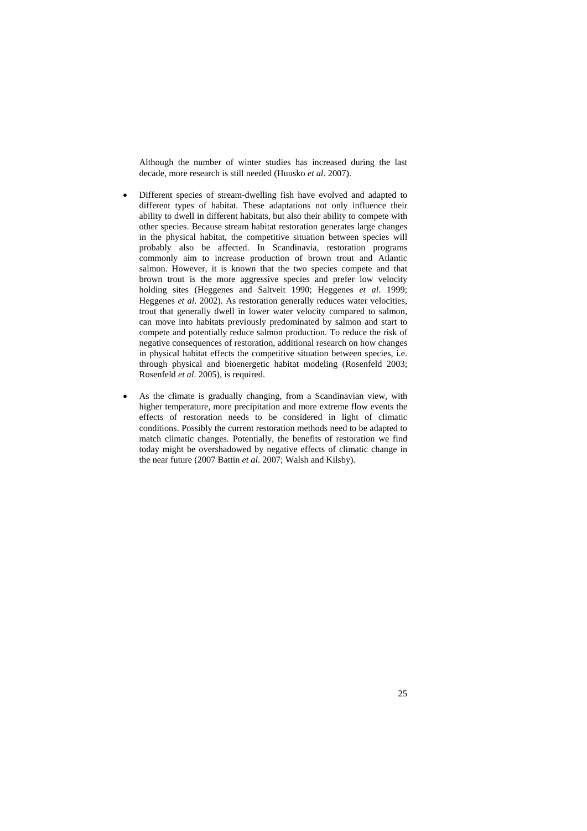Although the number of winter studies has increased during the last decade, more research is still needed (Huusko *et al*. 2007).

- Different species of stream-dwelling fish have evolved and adapted to different types of habitat. These adaptations not only influence their ability to dwell in different habitats, but also their ability to compete with other species. Because stream habitat restoration generates large changes in the physical habitat, the competitive situation between species will probably also be affected. In Scandinavia, restoration programs commonly aim to increase production of brown trout and Atlantic salmon. However, it is known that the two species compete and that brown trout is the more aggressive species and prefer low velocity holding sites (Heggenes and Saltveit 1990; Heggenes *et al*. 1999; Heggenes *et al*. 2002). As restoration generally reduces water velocities, trout that generally dwell in lower water velocity compared to salmon, can move into habitats previously predominated by salmon and start to compete and potentially reduce salmon production. To reduce the risk of negative consequences of restoration, additional research on how changes in physical habitat effects the competitive situation between species, i.e. through physical and bioenergetic habitat modeling (Rosenfeld 2003; Rosenfeld *et al*. 2005), is required.
- As the climate is gradually changing, from a Scandinavian view, with higher temperature, more precipitation and more extreme flow events the effects of restoration needs to be considered in light of climatic conditions. Possibly the current restoration methods need to be adapted to match climatic changes. Potentially, the benefits of restoration we find today might be overshadowed by negative effects of climatic change in the near future (2007 Battin *et al*. 2007; Walsh and Kilsby).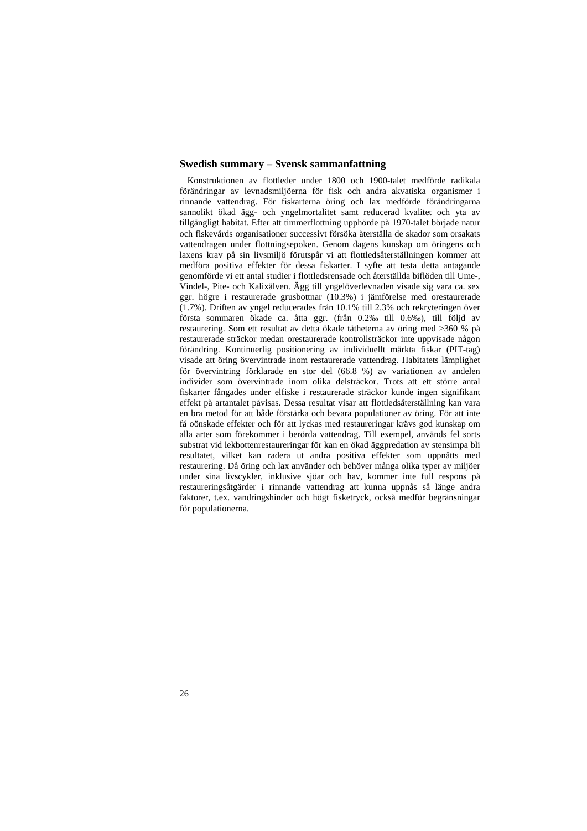## **Swedish summary – Svensk sammanfattning**

Konstruktionen av flottleder under 1800 och 1900-talet medförde radikala förändringar av levnadsmiljöerna för fisk och andra akvatiska organismer i rinnande vattendrag. För fiskarterna öring och lax medförde förändringarna sannolikt ökad ägg- och yngelmortalitet samt reducerad kvalitet och yta av tillgängligt habitat. Efter att timmerflottning upphörde på 1970-talet började natur och fiskevårds organisationer successivt försöka återställa de skador som orsakats vattendragen under flottningsepoken. Genom dagens kunskap om öringens och laxens krav på sin livsmiljö förutspår vi att flottledsåterställningen kommer att medföra positiva effekter för dessa fiskarter. I syfte att testa detta antagande genomförde vi ett antal studier i flottledsrensade och återställda biflöden till Ume-, Vindel-, Pite- och Kalixälven. Ägg till yngelöverlevnaden visade sig vara ca. sex ggr. högre i restaurerade grusbottnar (10.3%) i jämförelse med orestaurerade (1.7%). Driften av yngel reducerades från 10.1% till 2.3% och rekryteringen över första sommaren ökade ca. åtta ggr. (från 0.2‰ till 0.6‰), till följd av restaurering. Som ett resultat av detta ökade tätheterna av öring med >360 % på restaurerade sträckor medan orestaurerade kontrollsträckor inte uppvisade någon förändring. Kontinuerlig positionering av individuellt märkta fiskar (PIT-tag) visade att öring övervintrade inom restaurerade vattendrag. Habitatets lämplighet för övervintring förklarade en stor del (66.8 %) av variationen av andelen individer som övervintrade inom olika delsträckor. Trots att ett större antal fiskarter fångades under elfiske i restaurerade sträckor kunde ingen signifikant effekt på artantalet påvisas. Dessa resultat visar att flottledsåterställning kan vara en bra metod för att både förstärka och bevara populationer av öring. För att inte få oönskade effekter och för att lyckas med restaureringar krävs god kunskap om alla arter som förekommer i berörda vattendrag. Till exempel, används fel sorts substrat vid lekbottenrestaureringar för kan en ökad äggpredation av stensimpa bli resultatet, vilket kan radera ut andra positiva effekter som uppnåtts med restaurering. Då öring och lax använder och behöver många olika typer av miljöer under sina livscykler, inklusive sjöar och hav, kommer inte full respons på restaureringsåtgärder i rinnande vattendrag att kunna uppnås så länge andra faktorer, t.ex. vandringshinder och högt fisketryck, också medför begränsningar för populationerna.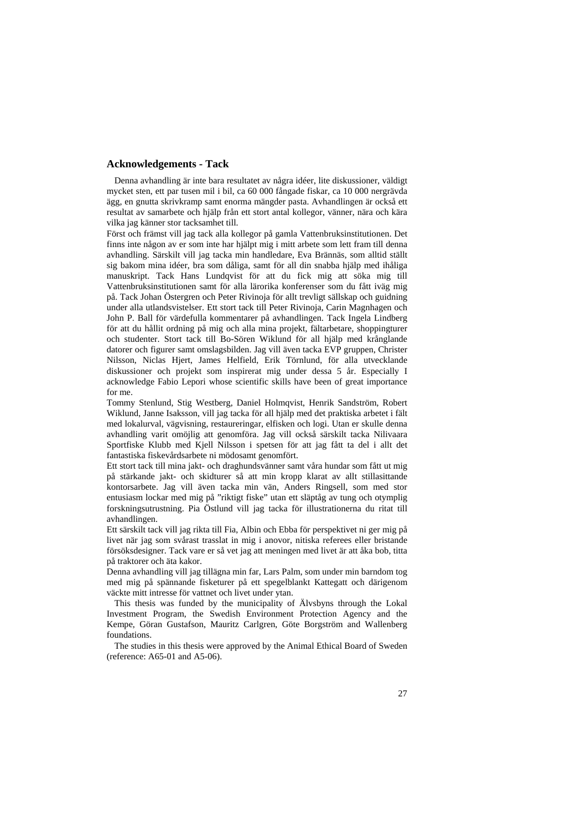## **Acknowledgements - Tack**

Denna avhandling är inte bara resultatet av några idéer, lite diskussioner, väldigt mycket sten, ett par tusen mil i bil, ca 60 000 fångade fiskar, ca 10 000 nergrävda ägg, en gnutta skrivkramp samt enorma mängder pasta. Avhandlingen är också ett resultat av samarbete och hjälp från ett stort antal kollegor, vänner, nära och kära vilka jag känner stor tacksamhet till.

Först och främst vill jag tack alla kollegor på gamla Vattenbruksinstitutionen. Det finns inte någon av er som inte har hjälpt mig i mitt arbete som lett fram till denna avhandling. Särskilt vill jag tacka min handledare, Eva Brännäs, som alltid ställt sig bakom mina idéer, bra som dåliga, samt för all din snabba hjälp med ihåliga manuskript. Tack Hans Lundqvist för att du fick mig att söka mig till Vattenbruksinstitutionen samt för alla lärorika konferenser som du fått iväg mig på. Tack Johan Östergren och Peter Rivinoja för allt trevligt sällskap och guidning under alla utlandsvistelser. Ett stort tack till Peter Rivinoja, Carin Magnhagen och John P. Ball för värdefulla kommentarer på avhandlingen. Tack Ingela Lindberg för att du hållit ordning på mig och alla mina projekt, fältarbetare, shoppingturer och studenter. Stort tack till Bo-Sören Wiklund för all hjälp med krånglande datorer och figurer samt omslagsbilden. Jag vill även tacka EVP gruppen, Christer Nilsson, Niclas Hjert, James Helfield, Erik Törnlund, för alla utvecklande diskussioner och projekt som inspirerat mig under dessa 5 år. Especially I acknowledge Fabio Lepori whose scientific skills have been of great importance for me.

Tommy Stenlund, Stig Westberg, Daniel Holmqvist, Henrik Sandström, Robert Wiklund, Janne Isaksson, vill jag tacka för all hjälp med det praktiska arbetet i fält med lokalurval, vägvisning, restaureringar, elfisken och logi. Utan er skulle denna avhandling varit omöjlig att genomföra. Jag vill också särskilt tacka Nilivaara Sportfiske Klubb med Kjell Nilsson i spetsen för att jag fått ta del i allt det fantastiska fiskevårdsarbete ni mödosamt genomfört.

Ett stort tack till mina jakt- och draghundsvänner samt våra hundar som fått ut mig på stärkande jakt- och skidturer så att min kropp klarat av allt stillasittande kontorsarbete. Jag vill även tacka min vän, Anders Ringsell, som med stor entusiasm lockar med mig på "riktigt fiske" utan ett släptåg av tung och otymplig forskningsutrustning. Pia Östlund vill jag tacka för illustrationerna du ritat till avhandlingen.

Ett särskilt tack vill jag rikta till Fia, Albin och Ebba för perspektivet ni ger mig på livet när jag som svårast trasslat in mig i anovor, nitiska referees eller bristande försöksdesigner. Tack vare er så vet jag att meningen med livet är att åka bob, titta på traktorer och äta kakor.

Denna avhandling vill jag tillägna min far, Lars Palm, som under min barndom tog med mig på spännande fisketurer på ett spegelblankt Kattegatt och därigenom väckte mitt intresse för vattnet och livet under ytan.

This thesis was funded by the municipality of Älvsbyns through the Lokal Investment Program, the Swedish Environment Protection Agency and the Kempe, Göran Gustafson, Mauritz Carlgren, Göte Borgström and Wallenberg foundations.

The studies in this thesis were approved by the Animal Ethical Board of Sweden (reference: A65-01 and A5-06).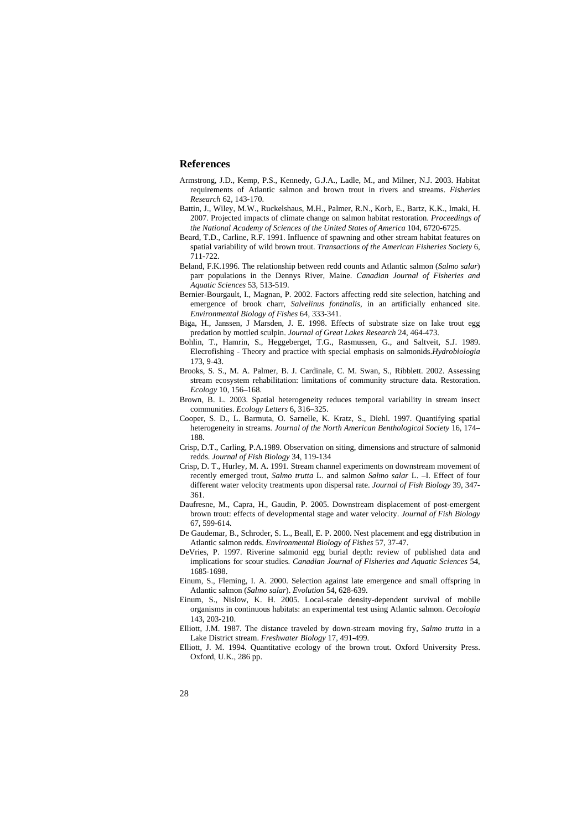## **References**

- Armstrong, J.D., Kemp, P.S., Kennedy, G.J.A., Ladle, M., and Milner, N.J. 2003. Habitat requirements of Atlantic salmon and brown trout in rivers and streams. *Fisheries Research* 62, 143-170.
- Battin, J., Wiley, M.W., Ruckelshaus, M.H., Palmer, R.N., Korb, E., Bartz, K.K., Imaki, H. 2007. Projected impacts of climate change on salmon habitat restoration. *Proceedings of the National Academy of Sciences of the United States of America* 104, 6720-6725.
- Beard, T.D., Carline, R.F. 1991. Influence of spawning and other stream habitat features on spatial variability of wild brown trout. *Transactions of the American Fisheries Society* 6, 711-722.
- Beland, F.K.1996. The relationship between redd counts and Atlantic salmon (*Salmo salar*) parr populations in the Dennys River, Maine. *Canadian Journal of Fisheries and Aquatic Sciences* 53, 513-519.
- Bernier-Bourgault, I., Magnan, P. 2002. Factors affecting redd site selection, hatching and emergence of brook charr, *Salvelinus fontinalis*, in an artificially enhanced site. *Environmental Biology of Fishes* 64, 333-341.
- Biga, H., Janssen, J Marsden, J. E. 1998. Effects of substrate size on lake trout egg predation by mottled sculpin. *Journal of Great Lakes Research* 24, 464-473.
- Bohlin, T., Hamrin, S., Heggeberget, T.G., Rasmussen, G., and Saltveit, S.J. 1989. Elecrofishing - Theory and practice with special emphasis on salmonids.*Hydrobiologia*  173, 9-43.
- Brooks, S. S., M. A. Palmer, B. J. Cardinale, C. M. Swan, S., Ribblett. 2002. Assessing stream ecosystem rehabilitation: limitations of community structure data. Restoration. *Ecology* 10, 156–168.
- Brown, B. L. 2003. Spatial heterogeneity reduces temporal variability in stream insect communities. *Ecology Letters* 6, 316–325.
- Cooper, S. D., L. Barmuta, O. Sarnelle, K. Kratz, S., Diehl. 1997. Quantifying spatial heterogeneity in streams*. Journal of the North American Benthological Society* 16, 174– 188.
- Crisp, D.T., Carling, P.A.1989. Observation on siting, dimensions and structure of salmonid redds. *Journal of Fish Biology* 34, 119-134
- Crisp, D. T., Hurley, M. A. 1991. Stream channel experiments on downstream movement of recently emerged trout, *Salmo trutta* L. and salmon *Salmo salar* L. –I. Effect of four different water velocity treatments upon dispersal rate. *Journal of Fish Biology* 39, 347- 361.
- Daufresne, M., Capra, H., Gaudin, P. 2005. Downstream displacement of post-emergent brown trout: effects of developmental stage and water velocity. *Journal of Fish Biology* 67, 599-614.
- De Gaudemar, B., Schroder, S. L., Beall, E. P. 2000. Nest placement and egg distribution in Atlantic salmon redds. *Environmental Biology of Fishes* 57, 37-47.
- DeVries, P. 1997. Riverine salmonid egg burial depth: review of published data and implications for scour studies. *Canadian Journal of Fisheries and Aquatic Sciences* 54, 1685-1698.
- Einum, S., Fleming, I. A. 2000. Selection against late emergence and small offspring in Atlantic salmon (*Salmo salar*). *Evolution* 54, 628-639.
- Einum, S., Nislow, K. H. 2005. Local-scale density-dependent survival of mobile organisms in continuous habitats: an experimental test using Atlantic salmon. *Oecologia* 143, 203-210.
- Elliott, J.M. 1987. The distance traveled by down-stream moving fry, *Salmo trutta* in a Lake District stream. *Freshwater Biology* 17, 491-499.
- Elliott, J. M. 1994. Quantitative ecology of the brown trout. Oxford University Press. Oxford, U.K., 286 pp.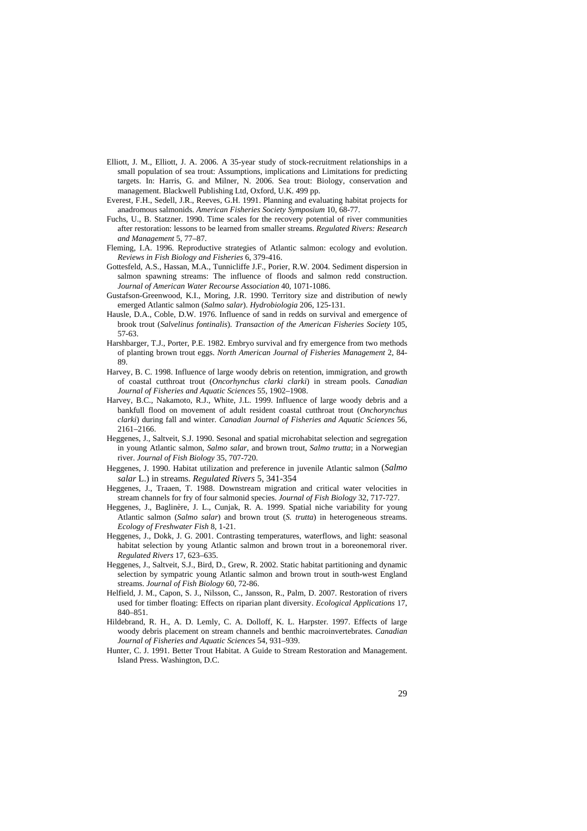- Elliott, J. M., Elliott, J. A. 2006. A 35-year study of stock-recruitment relationships in a small population of sea trout: Assumptions, implications and Limitations for predicting targets. In: Harris, G. and Milner, N. 2006. Sea trout: Biology, conservation and management. Blackwell Publishing Ltd, Oxford, U.K. 499 pp.
- Everest, F.H., Sedell, J.R., Reeves, G.H. 1991. Planning and evaluating habitat projects for anadromous salmonids. *American Fisheries Society Symposium* 10, 68-77.
- Fuchs, U., B. Statzner. 1990. Time scales for the recovery potential of river communities after restoration: lessons to be learned from smaller streams. *Regulated Rivers: Research and Management* 5, 77–87.
- Fleming, I.A. 1996. Reproductive strategies of Atlantic salmon: ecology and evolution. *Reviews in Fish Biology and Fisheries* 6, 379-416.
- Gottesfeld, A.S., Hassan, M.A., Tunnicliffe J.F., Porier, R.W. 2004. Sediment dispersion in salmon spawning streams: The influence of floods and salmon redd construction. *Journal of American Water Recourse Association* 40, 1071-1086.
- Gustafson-Greenwood, K.I., Moring, J.R. 1990. Territory size and distribution of newly emerged Atlantic salmon (*Salmo salar*). *Hydrobiologia* 206, 125-131.
- Hausle, D.A., Coble, D.W. 1976. Influence of sand in redds on survival and emergence of brook trout (*Salvelinus fontinalis*). *Transaction of the American Fisheries Society* 105, 57-63.
- Harshbarger, T.J., Porter, P.E. 1982. Embryo survival and fry emergence from two methods of planting brown trout eggs. *North American Journal of Fisheries Management* 2, 84- 89.
- Harvey, B. C. 1998. Influence of large woody debris on retention, immigration, and growth of coastal cutthroat trout (*Oncorhynchus clarki clarki*) in stream pools. *Canadian Journal of Fisheries and Aquatic Sciences* 55, 1902–1908.
- Harvey, B.C., Nakamoto, R.J., White, J.L. 1999. Influence of large woody debris and a bankfull flood on movement of adult resident coastal cutthroat trout (*Onchorynchus clarki*) during fall and winter. *Canadian Journal of Fisheries and Aquatic Sciences* 56, 2161–2166.
- Heggenes, J., Saltveit, S.J. 1990. Sesonal and spatial microhabitat selection and segregation in young Atlantic salmon, *Salmo salar*, and brown trout, *Salmo trutta*; in a Norwegian river. *Journal of Fish Biology* 35, 707-720.
- Heggenes, J. 1990. Habitat utilization and preference in juvenile Atlantic salmon (*Salmo salar* L.) in streams. *Regulated Rivers* 5, 341-354
- Heggenes, J., Traaen, T. 1988. Downstream migration and critical water velocities in stream channels for fry of four salmonid species. *Journal of Fish Biology* 32, 717-727.
- Heggenes, J., Baglinère, J. L., Cunjak, R. A. 1999. Spatial niche variability for young Atlantic salmon (*Salmo salar*) and brown trout (*S. trutta*) in heterogeneous streams. *Ecology of Freshwater Fish* 8, 1-21.
- Heggenes, J., Dokk, J. G. 2001. Contrasting temperatures, waterflows, and light: seasonal habitat selection by young Atlantic salmon and brown trout in a boreonemoral river. *Regulated Rivers* 17, 623–635.
- Heggenes, J., Saltveit, S.J., Bird, D., Grew, R. 2002. Static habitat partitioning and dynamic selection by sympatric young Atlantic salmon and brown trout in south-west England streams. *Journal of Fish Biology* 60, 72-86.
- Helfield, J. M., Capon, S. J., Nilsson, C., Jansson, R., Palm, D. 2007. Restoration of rivers used for timber floating: Effects on riparian plant diversity. *Ecological Applications* 17, 840–851.
- Hildebrand, R. H., A. D. Lemly, C. A. Dolloff, K. L. Harpster. 1997. Effects of large woody debris placement on stream channels and benthic macroinvertebrates. *Canadian Journal of Fisheries and Aquatic Sciences* 54, 931–939.
- Hunter, C. J. 1991. Better Trout Habitat. A Guide to Stream Restoration and Management. Island Press. Washington, D.C.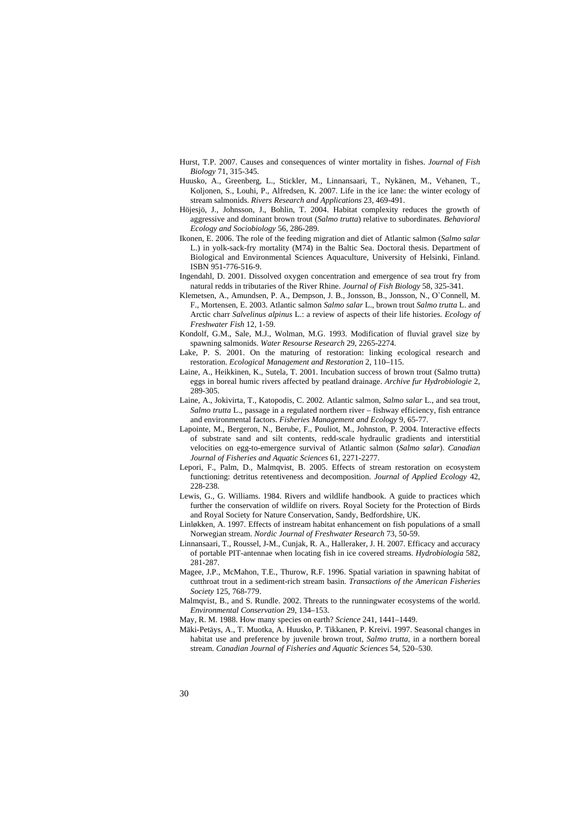- Hurst, T.P. 2007. Causes and consequences of winter mortality in fishes. *Journal of Fish Biology* 71, 315-345.
- Huusko, A., Greenberg, L., Stickler, M., Linnansaari, T., Nykänen, M., Vehanen, T., Koljonen, S., Louhi, P., Alfredsen, K. 2007. Life in the ice lane: the winter ecology of stream salmonids. *Rivers Research and Applications* 23, 469-491.
- Höjesjö, J., Johnsson, J., Bohlin, T. 2004. Habitat complexity reduces the growth of aggressive and dominant brown trout (*Salmo trutta*) relative to subordinates. *Behavioral Ecology and Sociobiology* 56, 286-289.
- Ikonen, E. 2006. The role of the feeding migration and diet of Atlantic salmon (*Salmo salar* L.) in yolk-sack-fry mortality (M74) in the Baltic Sea. Doctoral thesis. Department of Biological and Environmental Sciences Aquaculture, University of Helsinki, Finland. ISBN 951-776-516-9.
- Ingendahl, D. 2001. Dissolved oxygen concentration and emergence of sea trout fry from natural redds in tributaries of the River Rhine. *Journal of Fish Biology* 58, 325-341.
- Klemetsen, A., Amundsen, P. A., Dempson, J. B., Jonsson, B., Jonsson, N., O`Connell, M. F., Mortensen, E. 2003. Atlantic salmon *Salmo salar* L., brown trout *Salmo trutta* L. and Arctic charr *Salvelinus alpinus* L.: a review of aspects of their life histories. *Ecology of Freshwater Fish* 12, 1-59.
- Kondolf, G.M., Sale, M.J., Wolman, M.G. 1993. Modification of fluvial gravel size by spawning salmonids. *Water Resourse Research* 29, 2265-2274.
- Lake, P. S. 2001. On the maturing of restoration: linking ecological research and restoration. *Ecological Management and Restoration* 2, 110–115.
- Laine, A., Heikkinen, K., Sutela, T. 2001. Incubation success of brown trout (Salmo trutta) eggs in boreal humic rivers affected by peatland drainage. *Archive fur Hydrobiologie* 2, 289-305.
- Laine, A., Jokivirta, T., Katopodis, C. 2002. Atlantic salmon, *Salmo salar* L., and sea trout, *Salmo trutta* L., passage in a regulated northern river – fishway efficiency, fish entrance and environmental factors. *Fisheries Management and Ecology* 9, 65-77.
- Lapointe, M., Bergeron, N., Berube, F., Pouliot, M., Johnston, P. 2004. Interactive effects of substrate sand and silt contents, redd-scale hydraulic gradients and interstitial velocities on egg-to-emergence survival of Atlantic salmon (*Salmo salar*). *Canadian Journal of Fisheries and Aquatic Sciences* 61, 2271-2277.
- Lepori, F., Palm, D., Malmqvist, B. 2005. Effects of stream restoration on ecosystem functioning: detritus retentiveness and decomposition. *Journal of Applied Ecology* 42, 228-238
- Lewis, G., G. Williams. 1984. Rivers and wildlife handbook. A guide to practices which further the conservation of wildlife on rivers. Royal Society for the Protection of Birds and Royal Society for Nature Conservation, Sandy, Bedfordshire, UK.
- Linløkken, A. 1997. Effects of instream habitat enhancement on fish populations of a small Norwegian stream. *Nordic Journal of Freshwater Research* 73, 50-59.
- Linnansaari, T., Roussel, J-M., Cunjak, R. A., Halleraker, J. H. 2007. Efficacy and accuracy of portable PIT-antennae when locating fish in ice covered streams. *Hydrobiologia* 582, 281-287.
- Magee, J.P., McMahon, T.E., Thurow, R.F. 1996. Spatial variation in spawning habitat of cutthroat trout in a sediment-rich stream basin. *Transactions of the American Fisheries Society* 125, 768-779.
- Malmqvist, B., and S. Rundle. 2002. Threats to the runningwater ecosystems of the world. *Environmental Conservation* 29, 134–153.
- May, R. M. 1988. How many species on earth? *Science* 241, 1441–1449.
- Mäki-Petäys, A., T. Muotka, A. Huusko, P. Tikkanen, P. Kreivi. 1997. Seasonal changes in habitat use and preference by juvenile brown trout, *Salmo trutta*, in a northern boreal stream. *Canadian Journal of Fisheries and Aquatic Sciences* 54, 520–530.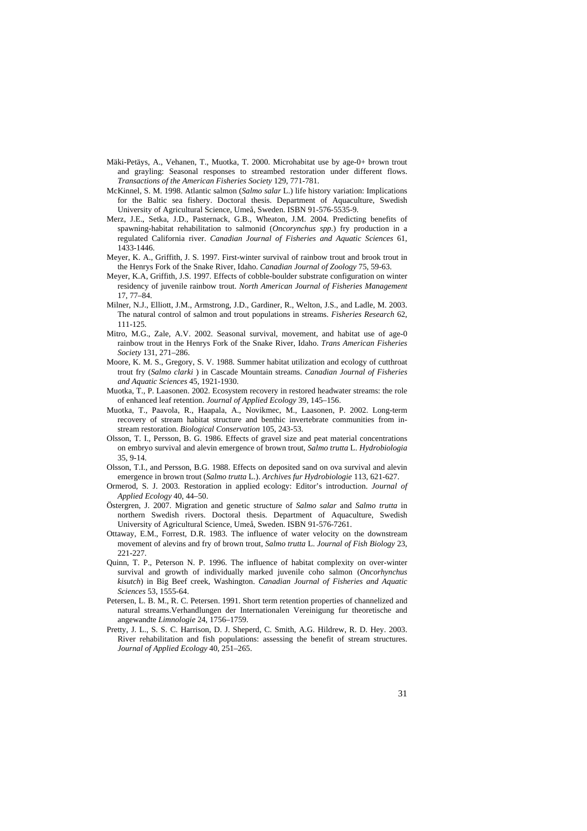- Mäki-Petäys, A., Vehanen, T., Muotka, T. 2000. Microhabitat use by age-0+ brown trout and grayling: Seasonal responses to streambed restoration under different flows. *Transactions of the American Fisheries Society* 129, 771-781.
- McKinnel, S. M. 1998. Atlantic salmon (*Salmo salar* L.) life history variation: Implications for the Baltic sea fishery. Doctoral thesis. Department of Aquaculture, Swedish University of Agricultural Science, Umeå, Sweden. ISBN 91-576-5535-9.
- Merz, J.E., Setka, J.D., Pasternack, G.B., Wheaton, J.M. 2004. Predicting benefits of spawning-habitat rehabilitation to salmonid (*Oncorynchus spp*.) fry production in a regulated California river. *Canadian Journal of Fisheries and Aquatic Sciences* 61, 1433-1446.
- Meyer, K. A., Griffith, J. S. 1997. First-winter survival of rainbow trout and brook trout in the Henrys Fork of the Snake River, Idaho. *Canadian Journal of Zoology* 75, 59-63.
- Meyer, K.A, Griffith, J.S. 1997. Effects of cobble-boulder substrate configuration on winter residency of juvenile rainbow trout. *North American Journal of Fisheries Management* 17, 77–84.
- Milner, N.J., Elliott, J.M., Armstrong, J.D., Gardiner, R., Welton, J.S., and Ladle, M. 2003. The natural control of salmon and trout populations in streams. *Fisheries Research* 62, 111-125.
- Mitro, M.G., Zale, A.V. 2002. Seasonal survival, movement, and habitat use of age-0 rainbow trout in the Henrys Fork of the Snake River, Idaho. *Trans American Fisheries Society* 131, 271–286.
- Moore, K. M. S., Gregory, S. V. 1988. Summer habitat utilization and ecology of cutthroat trout fry (*Salmo clarki* ) in Cascade Mountain streams. *Canadian Journal of Fisheries and Aquatic Sciences* 45, 1921-1930.
- Muotka, T., P. Laasonen. 2002. Ecosystem recovery in restored headwater streams: the role of enhanced leaf retention. *Journal of Applied Ecology* 39, 145–156.
- Muotka, T., Paavola, R., Haapala, A., Novikmec, M., Laasonen, P. 2002. Long-term recovery of stream habitat structure and benthic invertebrate communities from instream restoration. *Biological Conservation* 105, 243-53.
- Olsson, T. I., Persson, B. G. 1986. Effects of gravel size and peat material concentrations on embryo survival and alevin emergence of brown trout, *Salmo trutta* L. *Hydrobiologia* 35, 9-14.
- Olsson, T.I., and Persson, B.G. 1988. Effects on deposited sand on ova survival and alevin emergence in brown trout (*Salmo trutta* L.). *Archives fur Hydrobiologie* 113, 621-627.
- Ormerod, S. J. 2003. Restoration in applied ecology: Editor's introduction. *Journal of Applied Ecology* 40, 44–50.
- Östergren, J. 2007. Migration and genetic structure of *Salmo salar* and *Salmo trutta* in northern Swedish rivers. Doctoral thesis. Department of Aquaculture, Swedish University of Agricultural Science, Umeå, Sweden. ISBN 91-576-7261.
- Ottaway, E.M., Forrest, D.R. 1983. The influence of water velocity on the downstream movement of alevins and fry of brown trout, *Salmo trutta* L. *Journal of Fish Biology* 23, 221-227.
- Quinn, T. P., Peterson N. P. 1996. The influence of habitat complexity on over-winter survival and growth of individually marked juvenile coho salmon (*Oncorhynchus kisutch*) in Big Beef creek, Washington. *Canadian Journal of Fisheries and Aquatic Sciences* 53, 1555-64.
- Petersen, L. B. M., R. C. Petersen. 1991. Short term retention properties of channelized and natural streams.Verhandlungen der Internationalen Vereinigung fur theoretische and angewandte *Limnologie* 24, 1756–1759.
- Pretty, J. L., S. S. C. Harrison, D. J. Sheperd, C. Smith, A.G. Hildrew, R. D. Hey. 2003. River rehabilitation and fish populations: assessing the benefit of stream structures. *Journal of Applied Ecology* 40, 251–265.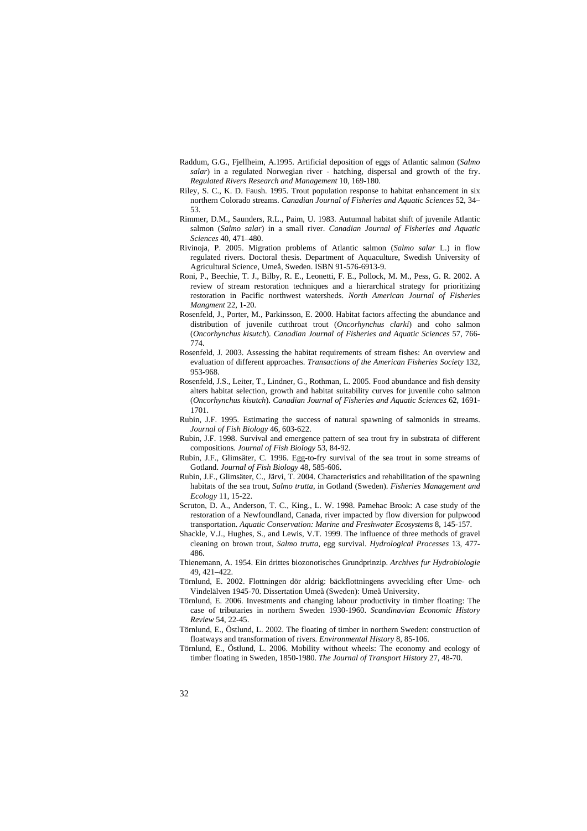- Raddum, G.G., Fjellheim, A.1995. Artificial deposition of eggs of Atlantic salmon (*Salmo salar*) in a regulated Norwegian river - hatching, dispersal and growth of the fry. *Regulated Rivers Research and Management* 10, 169-180.
- Riley, S. C., K. D. Faush. 1995. Trout population response to habitat enhancement in six northern Colorado streams. *Canadian Journal of Fisheries and Aquatic Sciences* 52, 34– 53.
- Rimmer, D.M., Saunders, R.L., Paim, U. 1983. Autumnal habitat shift of juvenile Atlantic salmon (*Salmo salar*) in a small river. *Canadian Journal of Fisheries and Aquatic Sciences* 40, 471–480.
- Rivinoja, P. 2005. Migration problems of Atlantic salmon (*Salmo salar* L.) in flow regulated rivers. Doctoral thesis. Department of Aquaculture, Swedish University of Agricultural Science, Umeå, Sweden. ISBN 91-576-6913-9.
- Roni, P., Beechie, T. J., Bilby, R. E., Leonetti, F. E., Pollock, M. M., Pess, G. R. 2002. A review of stream restoration techniques and a hierarchical strategy for prioritizing restoration in Pacific northwest watersheds. *North American Journal of Fisheries Mangment* 22, 1-20.
- Rosenfeld, J., Porter, M., Parkinsson, E. 2000. Habitat factors affecting the abundance and distribution of juvenile cutthroat trout (*Oncorhynchus clarki*) and coho salmon (*Oncorhynchus kisutch*). *Canadian Journal of Fisheries and Aquatic Sciences* 57, 766- 774.
- Rosenfeld, J. 2003. Assessing the habitat requirements of stream fishes: An overview and evaluation of different approaches. *Transactions of the American Fisheries Society* 132, 953-968.
- Rosenfeld, J.S., Leiter, T., Lindner, G., Rothman, L. 2005. Food abundance and fish density alters habitat selection, growth and habitat suitability curves for juvenile coho salmon (*Oncorhynchus kisutch*). *Canadian Journal of Fisheries and Aquatic Sciences* 62, 1691- 1701.

Rubin, J.F. 1995. Estimating the success of natural spawning of salmonids in streams. *Journal of Fish Biology* 46, 603-622.

Rubin, J.F. 1998. Survival and emergence pattern of sea trout fry in substrata of different compositions. *Journal of Fish Biology* 53, 84-92.

- Rubin, J.F., Glimsäter, C. 1996. Egg-to-fry survival of the sea trout in some streams of Gotland. *Journal of Fish Biology* 48, 585-606.
- Rubin, J.F., Glimsäter, C., Järvi, T. 2004. Characteristics and rehabilitation of the spawning habitats of the sea trout, *Salmo trutta*, in Gotland (Sweden). *Fisheries Management and Ecology* 11, 15-22.
- Scruton, D. A., Anderson, T. C., King., L. W. 1998. Pamehac Brook: A case study of the restoration of a Newfoundland, Canada, river impacted by flow diversion for pulpwood transportation. *Aquatic Conservation: Marine and Freshwater Ecosystems* 8, 145-157.
- Shackle, V.J., Hughes, S., and Lewis, V.T. 1999. The influence of three methods of gravel cleaning on brown trout, *Salmo trutta*, egg survival. *Hydrological Processes* 13, 477- 486.
- Thienemann, A. 1954. Ein drittes biozonotisches Grundprinzip. *Archives fur Hydrobiologie* 49, 421–422.
- Törnlund, E. 2002. Flottningen dör aldrig: bäckflottningens avveckling efter Ume- och Vindelälven 1945-70. Dissertation Umeå (Sweden): Umeå University.
- Törnlund, E. 2006. Investments and changing labour productivity in timber floating: The case of tributaries in northern Sweden 1930-1960. *Scandinavian Economic History Review* 54, 22-45.
- Törnlund, E., Östlund, L. 2002. The floating of timber in northern Sweden: construction of floatways and transformation of rivers. *Environmental History* 8, 85-106.
- Törnlund, E., Östlund, L. 2006. Mobility without wheels: The economy and ecology of timber floating in Sweden, 1850-1980. *The Journal of Transport History* 27, 48-70.